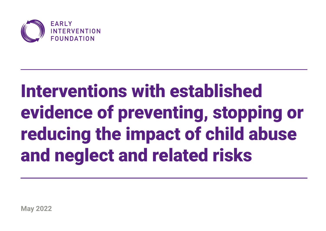

# Interventions with established evidence of preventing, stopping or reducing the impact of child abuse and neglect and related risks

**May 2022**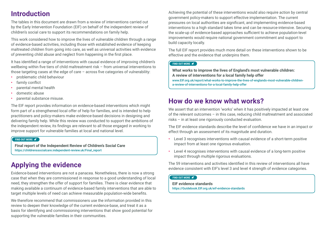## **Introduction**

The tables in this document are drawn from a review of interventions carried out by the Early Intervention Foundation (EIF) on behalf of the independent review of children's social care to support its recommendations on family help.

This work considered how to improve the lives of vulnerable children through a range of evidence-based activities, including those with established evidence of keeping maltreated children from going into care, as well as universal activities with evidence of preventing child abuse and neglect from happening in the first place.

It has identified a range of interventions with causal evidence of improving children's wellbeing within five tiers of child maltreatment risk – from universal interventions to those targeting cases at the edge of care – across five categories of vulnerability:

- **•** problematic child behaviour
- **•** family conflict
- **•** parental mental health
- **•** domestic abuse
- **•** parental substance misuse.

The EIF report provides information on evidence-based interventions which might form part of a strengthened local offer of help for families, and is intended to help practitioners and policy-makers make evidence-based decisions in designing and delivering family help. While this review was conducted to support the ambitions of the independent review, its findings are relevant to all those engaged in working to improve support for vulnerable families at local and national level.

#### **[FIND OUT MORE](https://childrenssocialcare.independent-review.uk/Final_report)**

**Final report of the Independent Review of Children's Social Care** [https://childrenssocialcare.independent-review.uk/Final\\_report](https://childrenssocialcare.independent-review.uk/Final_report)

# **Applying the evidence**

Evidence-based interventions are not a panacea. Nonetheless, there is now a strong case that when they are commissioned in response to a good understanding of local need, they strengthen the offer of support for families. There is clear evidence that making available a continuum of evidence-based family interventions that are able to target multiple levels of need can achieve measurable population-wide benefits.

We therefore recommend that commissioners use the information provided in this review to deepen their knowledge of the current evidence-base, and treat it as a basis for identifying and commissioning interventions that show good potential for supporting the vulnerable families in their communities.

Achieving the potential of these interventions would also require action by central government policy-makers to support effective implementation. The current pressures on local authorities are significant, and implementing evidence-based interventions to a high standard takes time and can be resource-intensive. Securing the scale-up of evidence-based approaches sufficient to achieve population-level improvements would require national government commitment and support to build capacity locally.

The full EIF report provides much more detail on these interventions shown to be effective and the evidence that underpins them.

#### **[FIND OUT MORE](https://www.eif.org.uk/report/what-works-to-improve-the-lives-of-englands-most-vulnerable-children-a-review-of-interventions-for-a-local-family-help-offer)**

**What works to improve the lives of England's most vulnerable children: A review of interventions for a local family help offer** [www.EIF.org.uk/report/what-works-to-improve-the-lives-of-englands-most-vulnerable-children](https://www.eif.org.uk/report/what-works-to-improve-the-lives-of-englands-most-vulnerable-children-a-review-of-interventions-for-a-local-family-help-offer)[a-review-of-interventions-for-a-local-family-help-offer](https://www.eif.org.uk/report/what-works-to-improve-the-lives-of-englands-most-vulnerable-children-a-review-of-interventions-for-a-local-family-help-offer)

## **How do we know what works?**

We assert that an intervention 'works' when it has positively impacted at least one of the relevant outcomes – in this case, reducing child maltreatment and associated risks – in at least one rigorously conducted evaluation.

The EIF evidence standards describe the level of confidence we have in an impact or effect through an assessment of its magnitude and duration.

- **•** Level 3 recognises interventions with causal evidence of a short-term positive impact from at least one rigorous evaluation.
- **•** Level 4 recognises interventions with causal evidence of a long-term positive impact through multiple rigorous evaluations.

The 59 interventions and activities identified in this review of interventions all have evidence consistent with EIF's level 3 and level 4 strength of evidence categories.

#### **[FIND OUT MORE](https://guidebook.eif.org.uk/eif-evidence-standards)**

**EIF evidence standards** [https://Guidebook.EIF.org.uk/eif-evidence-standards](https://guidebook.eif.org.uk/eif-evidence-standards)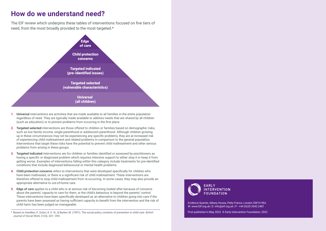## **How do we understand need?**

The EIF review which underpins these tables of interventions focused on five tiers of need, from the most broadly provided to the most targeted.\*



- **1. Universal** interventions are activities that are made available to all families in the entire population regardless of need. They are typically made available to address needs that are shared by all children (such as education) or to prevent problems from occurring in the first place.
- **2. Targeted selected** interventions are those offered to children or families based on demographic risks, such as low family income, single parenthood or adolescent parenthood. Although children growing up in these circumstances may not be experiencing any specific problems, they are at increased risk of experiencing child maltreatment and related problems in comparison to the general population. Interventions that target these risks have the potential to prevent child maltreatment and other serious problems from arising in these groups.
- **3. Targeted indicated** interventions are for children or families identified or assessed by practitioners as having a specific or diagnosed problem which requires intensive support to either stop it or keep it from getting worse. Examples of interventions falling within this category include treatments for pre-identified conditions that include diagnosed behavioural or mental health problems.
- **4. Child protection concerns** refers to interventions that were developed specifically for children who have been maltreated, or there is a significant risk of child maltreatment. These interventions are therefore offered to stop child maltreatment from re-occurring. In some cases, they may also provide an appropriate alternative to out-of-home care.
- **5. Edge of care** applies to a child who is at serious risk of becoming looked after because of concerns about the parents' capacity to care for them, or the child's behaviour is beyond the parents' control. These interventions have been specifically developed as an alternative to children going into care if the parents have been assessed as having sufficient capacity to benefit from the intervention and the risk of child harm has been judged as manageable.
- \* Based on Hardiker, P., Exton, K. E. N., & Barker, M. (1991). The social policy contexts of prevention in child care. *British Journal of Social Work*, 21(4), 341–359.



Evidence Quarter, Albany House, Petty France, London SW1H 9EA W: www.EIF.org.uk | E: info@eif.org.uk | P : +44 (0)20 3542 2481

First published in May 2022. © Early Intervention Foundation, 2022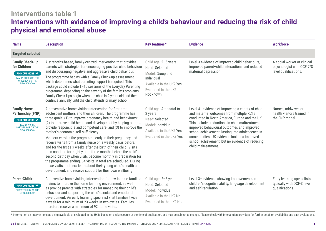# **Interventions table 1 Interventions with evidence of improving a child's behaviour and reducing the risk of child physical and emotional abuse**

| <b>Name</b>                                                                                                                                                  | <b>Description</b>                                                                                                                                                                                                                                                                                                                                                                                                                                                                                                                                                                                                                                                                                                                                                                                                                                                                                          | Key features*                                                                                                                             | <b>Evidence</b>                                                                                                                                                                                                                                                                                                                                                                                                              | <b>Workforce</b>                                                                  |
|--------------------------------------------------------------------------------------------------------------------------------------------------------------|-------------------------------------------------------------------------------------------------------------------------------------------------------------------------------------------------------------------------------------------------------------------------------------------------------------------------------------------------------------------------------------------------------------------------------------------------------------------------------------------------------------------------------------------------------------------------------------------------------------------------------------------------------------------------------------------------------------------------------------------------------------------------------------------------------------------------------------------------------------------------------------------------------------|-------------------------------------------------------------------------------------------------------------------------------------------|------------------------------------------------------------------------------------------------------------------------------------------------------------------------------------------------------------------------------------------------------------------------------------------------------------------------------------------------------------------------------------------------------------------------------|-----------------------------------------------------------------------------------|
| <b>Targeted selected</b>                                                                                                                                     |                                                                                                                                                                                                                                                                                                                                                                                                                                                                                                                                                                                                                                                                                                                                                                                                                                                                                                             |                                                                                                                                           |                                                                                                                                                                                                                                                                                                                                                                                                                              |                                                                                   |
| <b>Family Check-up</b><br>for Children<br>FIND OUT MORE $\blacktriangledown$<br><b>FAMILY CHECK-UP FOR</b><br><b>CHILDREN ON THE</b><br><b>EIF GUIDEBOOK</b> | A strengths-based, family-centred intervention that provides<br>parents with strategies for encouraging positive child behaviour<br>and discouraging negative and aggressive child behaviour.<br>The programme begins with a Family Check-up assessment<br>which determines what parenting support is required. This<br>package could include 1-15 sessions of the Everyday Parenting<br>programme, depending on the severity of the family's problems.<br>Family Check-Ups begin when the child is 2 years old and then<br>continue annually until the child attends primary school.                                                                                                                                                                                                                                                                                                                       | Child age: 2-5 years<br>Need: Selected<br>Model: Group and<br>individual<br>Available in the UK? Yes<br>Evaluated in the UK?<br>Not known | Level 3 evidence of improved child behaviours,<br>improved parent-child interactions and reduced<br>maternal depression.                                                                                                                                                                                                                                                                                                     | A social worker or clinical<br>psychologist with QCF-7/8<br>level qualifications. |
| <b>Family Nurse</b><br><b>Partnership (FNP)</b><br>FIND OUT MORE <b></b><br><b>FAMILY NURSE</b><br><b>PARTNERSHIP ON THE</b><br><b>EIF GUIDEBOOK</b>         | A preventative home-visiting intervention for first-time<br>adolescent mothers and their children. The programme has<br>three goals: (1) to improve pregnancy health and behaviours;<br>(2) to improve child health and development by helping parents<br>provide responsible and competent care; and (3) to improve the<br>mother's economic self-sufficiency.<br>Mothers enrol in the programme early in their pregnancy and<br>receive visits from a family nurse on a weekly basis before,<br>and for the first six weeks after the birth of their child. Visits<br>then continue fortnightly until three months before the child's<br>second birthday when visits become monthly in preparation for<br>the programme ending. 64 visits in total are scheduled. During<br>these visits, mothers learn about their young child's health and<br>development, and receive support for their own wellbeing. | Child age: Antenatal to<br>2 years<br>Need: Selected<br>Model: Individual<br>Available in the UK? Yes<br>Evaluated in the UK? Yes         | Level 4+ evidence of improving a variety of child<br>and maternal outcomes from multiple RCTs<br>conducted in North America, Europe and the UK.<br>This includes reductions in child maltreatment.<br>improved behavioural outcomes and improved<br>school achievement, lasting into adolescence in<br>some studies. UK evidence includes improved<br>school achievement, but no evidence of reducing<br>child maltreatment. | Nurses, midwives or<br>health visitors trained in<br>the FNP model.               |
| ParentChild+<br>FIND OUT MORE <del></del><br><b>PARENTCHILD+ ON THE</b><br><b>EIF GUIDEBOOK</b>                                                              | A preventive home-visiting intervention for low-income families.<br>It aims to improve the home learning environment, as well<br>as provide parents with strategies for managing their child's<br>behaviour and supporting the child's social and emotional<br>development. An early learning specialist visit families twice<br>a week for a minimum of 23 weeks in two cycles. Families<br>therefore receive a minimum of 92 home visits.                                                                                                                                                                                                                                                                                                                                                                                                                                                                 | Child age: 2-3 years<br>Need: Selected<br>Model: Individual<br>Available in the UK? No<br>Evaluated in the UK? No                         | Level 3+ evidence showing improvements in<br>children's cognitive ability, language development<br>and self-regulation.                                                                                                                                                                                                                                                                                                      | Early learning specialists,<br>typically with QCF-3 level<br>qualifications.      |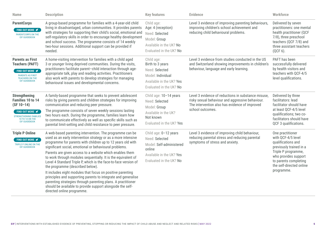| <b>Name</b>                                                                                                                                                        | <b>Description</b>                                                                                                                                                                                                                                                                                                                                                                                                                                                                                                                                                                                                                                                                                                                                                                | <b>Key features</b>                                                                                                                  | <b>Evidence</b>                                                                                                                                                               | Workforce                                                                                                                                                                                                 |
|--------------------------------------------------------------------------------------------------------------------------------------------------------------------|-----------------------------------------------------------------------------------------------------------------------------------------------------------------------------------------------------------------------------------------------------------------------------------------------------------------------------------------------------------------------------------------------------------------------------------------------------------------------------------------------------------------------------------------------------------------------------------------------------------------------------------------------------------------------------------------------------------------------------------------------------------------------------------|--------------------------------------------------------------------------------------------------------------------------------------|-------------------------------------------------------------------------------------------------------------------------------------------------------------------------------|-----------------------------------------------------------------------------------------------------------------------------------------------------------------------------------------------------------|
| <b>ParentCorps</b><br>FIND OUT MORE <del></del><br><b>PARENTCORPS ON THE</b><br><b>EIF GUIDEBOOK</b>                                                               | A group-based programme for families with a 4-year-old child<br>living in disadvantaged, urban communities. It provides parents<br>with strategies for supporting their child's social, emotional and<br>self-regulatory skills in order to encourage healthy development<br>and school success. The programme consists of 14 weekly<br>two-hour sessions. Additional support can be provided if<br>needed.                                                                                                                                                                                                                                                                                                                                                                       | Child age:<br>Age: 4 (reception)<br>Need: Selected<br>Model: Group<br>Available in the UK? No<br>Evaluated in the UK? No             | Level 3 evidence of improving parenting behaviours,<br>improving children's school achievement and<br>reducing child behavioural problems.                                    | Delivered by seven<br>practitioners: one mental<br>health practitioner (QCF<br>7/8), three preschool<br>teachers (QCF 7/8) and<br>three assistant teachers<br>(QCF 6).                                    |
| <b>Parents as First</b><br><b>Teachers (PAFT)</b><br>FIND OUT MORE <del></del><br><b>PARENTS AS FIRST</b><br><b>TEACHERS ON THE</b><br><b>EIF GUIDEBOOK</b>        | A home-visiting intervention for families with a child aged<br>3 or younger living deprived communities. During the visits,<br>practitioners facilitate parent-child interaction through age-<br>appropriate talk, play and reading activities. Practitioners<br>also work with parents to develop strategies for managing<br>behavioural issues and developmental concerns.                                                                                                                                                                                                                                                                                                                                                                                                      | Child age:<br>Birth to 3 years<br>Need: Selected<br>Model: Individual<br>Available in the UK? Yes<br>Evaluated in the UK? No         | Level 3 evidence from studies conducted in the US<br>and Switzerland showing improvements in children's<br>behaviour, language and early learning.                            | PAFT has been<br>successfully delivered<br>by health visitors and<br>teachers with QCF-4/5<br>level qualifications.                                                                                       |
| <b>Strengthening</b><br>Families 10 to 14<br>$(SF 10-14)$<br>FIND OUT MORE <del></del><br><b>STRENGTHENING FAMILIES</b><br>10 TO 14 ON THE<br><b>EIF GUIDEBOOK</b> | A family-based programme that seeks to prevent adolescent<br>risks by giving parents and children strategies for improving<br>communication and reducing peer pressure.<br>The programme consists of seven weekly sessions lasting<br>two hours each. During the programme, families learn how<br>to communicate effectively as well as specific skills such as<br>parental limit-setting and child resistance to peer pressure.                                                                                                                                                                                                                                                                                                                                                  | Child age: 10-14 years<br>Need: Selected<br>Model: Group<br>Available in the UK?<br>Not known<br>Evaluated in the UK? Yes            | Level 3 evidence of reductions in substance misuse,<br>risky sexual behaviour and aggressive behaviour.<br>The intervention also has evidence of improved<br>school outcomes. | Delivered by three<br>facilitators: lead<br>facilitator should have<br>at least QCF-4/5 level<br>qualifications; two co-<br>facilitators should have<br>QCF 3 qualifications.                             |
| <b>Triple P Online</b><br>FIND OUT MORE <del></del><br>TRIPLE P ONLINE ON THE<br><b>EIF GUIDEBOOK</b>                                                              | A web-based parenting intervention. The programme can be<br>used as an early intervention strategy or as a more intensive<br>programme for parents with children up to 12 years old with<br>significant social, emotional or behavioural problems.<br>Parents are given access to a website which enables them<br>to work through modules sequentially. It is the equivalent of<br>Level 4 Standard Triple P, which is the face-to-face version of<br>the programme (described below).<br>It includes eight modules that focus on positive parenting<br>principles and supporting parents to integrate and generalise<br>parenting strategies through parenting plans. A practitioner<br>should be available to provide support alongside the self-<br>directed online programme. | Child age: 0-12 years<br>Need: Selected<br>Model: Self-administered<br>online<br>Available in the UK? Yes<br>Evaluated in the UK? No | Level 3 evidence of improving child behaviour,<br>reducing parental stress and reducing parental<br>symptoms of stress and anxiety.                                           | One practitioner<br>with QCF-4/5 level<br>qualifications and<br>previously trained in a<br>Triple P programme,<br>who provides support<br>to parents completing<br>the self-directed online<br>programme. |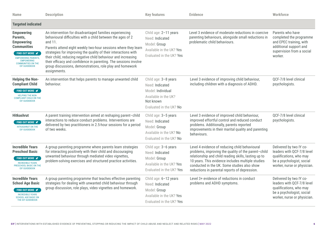| <b>Name</b>                                                                                                                                                                                               | <b>Description</b>                                                                                                                                                                                                                                                                                                                                                                                                                                                                         | <b>Key features</b>                                                                                                          | <b>Evidence</b>                                                                                                                                                                                                                                                                                                    | Workforce                                                                                                                                    |
|-----------------------------------------------------------------------------------------------------------------------------------------------------------------------------------------------------------|--------------------------------------------------------------------------------------------------------------------------------------------------------------------------------------------------------------------------------------------------------------------------------------------------------------------------------------------------------------------------------------------------------------------------------------------------------------------------------------------|------------------------------------------------------------------------------------------------------------------------------|--------------------------------------------------------------------------------------------------------------------------------------------------------------------------------------------------------------------------------------------------------------------------------------------------------------------|----------------------------------------------------------------------------------------------------------------------------------------------|
| <b>Targeted indicated</b>                                                                                                                                                                                 |                                                                                                                                                                                                                                                                                                                                                                                                                                                                                            |                                                                                                                              |                                                                                                                                                                                                                                                                                                                    |                                                                                                                                              |
| <b>Empowering</b><br>Parents,<br><b>Empowering</b><br><b>Communities</b><br><b>FIND OUT MORE </b><br><b>EMPOWERING PARENTS,</b><br><b>EMPOWERING</b><br><b>COMMUNITIES ON THE</b><br><b>EIF GUIDEBOOK</b> | An intervention for disadvantaged families experiencing<br>behavioural difficulties with a child between the ages of 2<br>and $11.$<br>Parents attend eight weekly two-hour sessions where they learn<br>strategies for improving the quality of their interactions with<br>their child, reducing negative child behaviour and increasing<br>their efficacy and confidence in parenting. The sessions involve<br>group discussions, demonstrations, role play and homework<br>assignments. | Child age: 2-11 years<br>Need: Indicated<br>Model: Group<br>Available in the UK? Yes<br>Evaluated in the UK? Yes             | Level 3 evidence of moderate reductions in coercive<br>parenting behaviours, alongside small reductions in<br>problematic child behaviours.                                                                                                                                                                        | Parents who have<br>completed the programme<br>and EPEC training, with<br>additional support and<br>supervision from a social<br>worker.     |
| <b>Helping the Non-</b><br><b>Compliant Child</b><br>FIND OUT MORE $\blacktriangledown$<br><b>HELPING THE NON-</b><br><b>COMPLIANT CHILD ON THE</b><br><b>EIF GUIDEBOOK</b>                               | An intervention that helps parents to manage unwanted child<br>behaviour.                                                                                                                                                                                                                                                                                                                                                                                                                  | Child age: 3-8 years<br>Need: Indicated<br>Model: Individual<br>Available in the UK?<br>Not known<br>Evaluated in the UK? No | Level 3 evidence of improving child behaviour,<br>including children with a diagnosis of ADHD.                                                                                                                                                                                                                     | QCF-7/8 level clinical<br>psychologists.                                                                                                     |
| <b>Hitkashrut</b><br><b>FIND OUT MORE </b><br><b>HITKASHRUT ON THE</b><br><b>EIF GUIDEBOOK</b>                                                                                                            | A parent training intervention aimed at reshaping parent-child<br>interactions to reduce conduct problems. Interventions are<br>delivered by two practitioners in 2.5-hour sessions for a period<br>of two weeks.                                                                                                                                                                                                                                                                          | Child age: 3-5 years<br>Need: Indicated<br>Model: Group<br>Available in the UK? No<br>Evaluated in the UK? No                | Level 3 evidence of improved child behaviour,<br>improved effortful control and reduced conduct<br>problems. Additionally, parents reported<br>improvements in their marital quality and parenting<br>behaviours.                                                                                                  | QCF-7/8 level clinical<br>psychologists.                                                                                                     |
| <b>Incredible Years</b><br><b>Preschool Basic</b><br>FIND OUT MORE <del></del><br><b>INCREDIBLE YEARS</b><br>PRESCHOOL BASIC ON THE<br><b>EIF GUIDEBOOK</b>                                               | A group parenting programme where parents learn strategies<br>for interacting positively with their child and discouraging<br>unwanted behaviour through mediated video vignettes,<br>problem-solving exercises and structured practice activities.                                                                                                                                                                                                                                        | Child age: 3-6 years<br>Need: Indicated<br>Model: Group<br>Available in the UK? Yes<br>Evaluated in the UK? Yes              | Level 4 evidence of reducing child behavioural<br>problems, improving the quality of the parent-child<br>relationship and child reading skills, lasting up to<br>10 years. This evidence includes multiple studies<br>conducted in the UK. Some studies also show<br>reductions in parental reports of depression. | Delivered by two IY co-<br>leaders with QCF-7/8 level<br>qualifications, who may<br>be a psychologist, social<br>worker, nurse or physician. |
| <b>Incredible Years</b><br><b>School Age Basic</b><br>FIND OUT MORE <b></b><br><b>INCREDIBLE YEARS</b><br><b>SCHOOL AGE BASIC ON</b><br>THE EIF GUIDEBOOK                                                 | A group parenting programme that teaches effective parenting<br>strategies for dealing with unwanted child behaviour through<br>group discussion, role plays, video vignettes and homework.                                                                                                                                                                                                                                                                                                | Child age: 6-12 years<br>Need: Indicated<br>Model: Group<br>Available in the UK? Yes<br>Evaluated in the UK? Yes             | Level 3+ evidence of reductions in conduct<br>problems and ADHD symptoms.                                                                                                                                                                                                                                          | Delivered by two IY co-<br>leaders with QCF-7/8 level<br>qualifications, who may<br>be a psychologist, social<br>worker, nurse or physician. |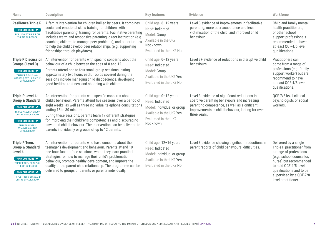| <b>Name</b>                                                                                                                                                                                                                                                  | <b>Description</b>                                                                                                                                                                                                                                                                                                                                                                                                                                                                       | <b>Key features</b>                                                                                                                     | <b>Evidence</b>                                                                                                                                                                                                    | Workforce                                                                                                                                                                                                                                   |
|--------------------------------------------------------------------------------------------------------------------------------------------------------------------------------------------------------------------------------------------------------------|------------------------------------------------------------------------------------------------------------------------------------------------------------------------------------------------------------------------------------------------------------------------------------------------------------------------------------------------------------------------------------------------------------------------------------------------------------------------------------------|-----------------------------------------------------------------------------------------------------------------------------------------|--------------------------------------------------------------------------------------------------------------------------------------------------------------------------------------------------------------------|---------------------------------------------------------------------------------------------------------------------------------------------------------------------------------------------------------------------------------------------|
| <b>Resilience Triple P</b><br>FIND OUT MORE <del></del><br><b>RESILIENCE TRIPLE P ON</b><br>THE EIF GUIDEBOOK                                                                                                                                                | A family intervention for children bullied by peers. It combines<br>social and emotional skills training for children, with<br>'facilitative parenting' training for parents. Facilitative parenting<br>includes warm and responsive parenting, direct instruction (e.g.<br>coaching children to manage peer problems), and opportunities<br>to help the child develop peer relationships (e.g. supporting<br>friendships through playdates).                                            | Child age: 6-12 years<br>Need: Indicated<br>Model: Group<br>Available in the UK?<br>Not known<br>Evaluated in the UK? No                | Level 3 evidence of improvements in facilitative<br>parenting, more peer acceptance and less<br>victimisation of the child, and improved child<br>behaviour.                                                       | Child and family mental<br>health practitioners,<br>or other school<br>support professionals<br>recommended to have<br>at least QCF-4/5 level<br>qualifications.                                                                            |
| <b>Triple P Discussion</b><br><b>Groups (Level 3)</b><br>FIND OUT MORE <b></b><br><b>TRIPLE P DISCUSSION</b><br><b>GROUPS (LEVEL 3) ON THE</b><br><b>EIF GUIDEBOOK</b>                                                                                       | An intervention for parents with specific concerns about the<br>behaviour of a child between the ages of 0 and 12.<br>Parents attend one to four small group sessions lasting<br>approximately two hours each. Topics covered during the<br>sessions include managing child disobedience, developing<br>good bedtime routines, and shopping with children.                                                                                                                               | Child age: 0-12 years<br>Need: Indicated<br>Model: Group<br>Available in the UK? Yes<br>Evaluated in the UK? No                         | Level 3+ evidence of reductions in disruptive child<br>behaviours.                                                                                                                                                 | Practitioners can<br>come from a range of<br>professions (e.g. family<br>support worker) but are<br>recommend to have<br>at least QCF-4/5 level<br>qualifications.                                                                          |
| <b>Triple P Level 4:</b><br><b>Group &amp; Standard</b><br>FIND OUT MORE $\blacktriangledown$<br><b>TRIPLE P LEVEL 4 GROUP</b><br>ON THE EIF GUIDEBOOK<br><b>FIND OUT MORE </b><br><b>TRIPLE P LEVEL 4</b><br><b>STANDARD ON THE</b><br><b>EIF GUIDEBOOK</b> | An intervention for parents with specific concerns about a<br>child's behaviour. Parents attend five sessions over a period of<br>eight weeks, as well as three individual telephone consultations<br>lasting 15 to 30 minutes.<br>During these sessions, parents learn 17 different strategies<br>for improving their children's competencies and discouraging<br>unwanted child behaviour. The intervention can be delivered to<br>parents individually or groups of up to 12 parents. | Child age: 0-12 years<br>Need: Indicated<br>Model: Individual or group<br>Available in the UK? Yes<br>Evaluated in the UK?<br>Not known | Level 3 evidence of significant reductions in<br>coercive parenting behaviours and increasing<br>parenting competence, as well as significant<br>improvements in child behaviour, lasting for over<br>three years. | QCF-7/8 level clinical<br>psychologists or social<br>workers.                                                                                                                                                                               |
| <b>Triple P Teen:</b><br><b>Group &amp; Standard</b><br>Level 4<br>FIND OUT MORE <del></del><br><b>TRIPLE P TEEN GROUP ON</b><br>THE EIF GUIDEBOOK<br>FIND OUT MORE <del></del><br><b>TRIPLE P TEEN STANDARD</b><br>ON THE EIF GUIDEBOOK                     | An intervention for parents who have concerns about their<br>teenager's development and behaviour. Parents attend 10<br>one-hour face-to-face sessions, where they learn practical<br>strategies for how to manage their child's problematic<br>behaviour, promote healthy development, and improve the<br>quality of the parent-child relationship. The programme can be<br>delivered to groups of parents or parents individually.                                                     | Child age: 12-16 years<br>Need: Indicated<br>Model: Individual or group<br>Available in the UK? Yes<br>Evaluated in the UK? No          | Level 3 evidence showing significant reductions in<br>parent reports of child behavioural difficulties.                                                                                                            | Delivered by a single<br>Triple P practitioner from<br>a range of professions<br>(e.g., school counsellor,<br>nurse) but recommended<br>to hold QCF-4/5 level<br>qualifications and to be<br>supervised by a QCF-7/8<br>level practitioner. |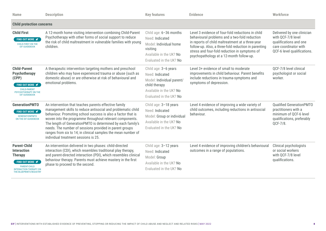| <b>Name</b>                                                                                                                                                                 | <b>Description</b>                                                                                                                                                                                                                                                                                                                                                                                                                                                                   | <b>Key features</b>                                                                                                                         | <b>Evidence</b>                                                                                                                                                                                                                                                                                             | <b>Workforce</b>                                                                                                                   |
|-----------------------------------------------------------------------------------------------------------------------------------------------------------------------------|--------------------------------------------------------------------------------------------------------------------------------------------------------------------------------------------------------------------------------------------------------------------------------------------------------------------------------------------------------------------------------------------------------------------------------------------------------------------------------------|---------------------------------------------------------------------------------------------------------------------------------------------|-------------------------------------------------------------------------------------------------------------------------------------------------------------------------------------------------------------------------------------------------------------------------------------------------------------|------------------------------------------------------------------------------------------------------------------------------------|
| <b>Child protection concerns</b>                                                                                                                                            |                                                                                                                                                                                                                                                                                                                                                                                                                                                                                      |                                                                                                                                             |                                                                                                                                                                                                                                                                                                             |                                                                                                                                    |
| <b>Child First</b><br>FIND OUT MORE <del></del><br><b>CHILD-FIRST ON THE</b><br><b>EIF GUIDEBOOK</b>                                                                        | A 12-month home visiting intervention combining Child-Parent<br>Psychotherapy with other forms of social support to reduce<br>the risk of child maltreatment in vulnerable families with young<br>children.                                                                                                                                                                                                                                                                          | Child age: 6-36 months<br>Need: Indicated<br>Model: Individual home<br>visiting<br>Available in the UK? No<br>Evaluated in the UK? No       | Level 3 evidence of four-fold reductions in child<br>behavioural problems and a two-fold reduction<br>in reports of child maltreatment at a three-year<br>follow-up. Also, a three-fold reduction in parenting<br>stress and four-fold reduction in symptoms of<br>psychopathology at a 12-month follow-up. | Delivered by one clinician<br>with QCF-7/8 level<br>qualifications and one<br>care coordinator with<br>QCF-6 level qualifications. |
| <b>Child-Parent</b><br><b>Psychotherapy</b><br>(CPP)<br>FIND OUT MORE <del></del><br><b>CHILD-PARENT</b><br><b>PSYCHOTHERAPY ON THE</b><br><b>EIF GUIDEBOOK</b>             | A therapeutic intervention targeting mothers and preschool<br>children who may have experienced trauma or abuse (such as<br>domestic abuse) or are otherwise at risk of behavioural and<br>emotional problems.                                                                                                                                                                                                                                                                       | Child age: 3-6 years<br>Need: Indicated<br>Model: Individual parent/<br>child therapy<br>Available in the UK? No<br>Evaluated in the UK? No | Level 3+ evidence of small to moderate<br>improvements in child behaviour. Parent benefits<br>include reductions in trauma-symptoms and<br>symptoms of depression.                                                                                                                                          | OCF-7/8 level clinical<br>psychologist or social<br>worker.                                                                        |
| <b>GenerationPMTO</b><br>FIND OUT MORE <del></del><br><b>GENERATIONPMTO</b><br><b>ON THE EIF GUIDEBOOK</b>                                                                  | An intervention that teaches parents effective family<br>management skills to reduce antisocial and problematic child<br>behaviour. Promoting school success is also a factor that is<br>woven into the programme throughout relevant components.<br>The length of GenerationPMTO is determined by each family's<br>needs. The number of sessions provided in parent groups<br>ranges from six to 14; in clinical samples the mean number of<br>individual treatment sessions is 25. | Child age: 3-18 years<br>Need: Indicated<br>Model: Group or individual<br>Available in the UK? No<br>Evaluated in the UK? No                | Level 4 evidence of improving a wide variety of<br>child outcomes, including reductions in antisocial<br>behaviour.                                                                                                                                                                                         | <b>Qualified GenerationPMTO</b><br>practitioners with a<br>minimum of QCF-6 level<br>qualifications, preferably<br>QCF-7/8.        |
| <b>Parent-Child</b><br><b>Interaction</b><br><b>Therapy</b><br>FIND OUT MORE <del></del><br><b>PARENT-CHILD</b><br><b>INTERACTION THERAPY ON</b><br>THE BLUEPRINTS REGISTRY | An intervention delivered in two phases: child-directed<br>interaction (CDI), which resembles traditional play therapy,<br>and parent-directed interaction (PDI), which resembles clinical<br>behaviour therapy. Parents must achieve mastery in the first<br>phase to proceed to the second.                                                                                                                                                                                        | Child age: 3-12 years<br>Need: Indicated<br>Model: Group<br>Available in the UK? No<br>Evaluated in the UK? No                              | Level 4 evidence of improving children's behavioural<br>outcomes in a range of populations.                                                                                                                                                                                                                 | Clinical psychologists<br>or social workers<br>with QCF-7/8 level<br>qualifications.                                               |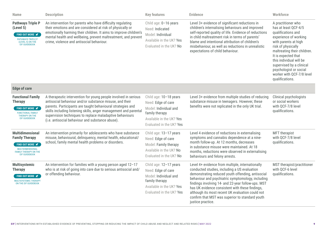| <b>Name</b>                                                                                                                                           | <b>Description</b>                                                                                                                                                                                                                                                                                                                                                            | <b>Key features</b>                                                                                                                             | <b>Evidence</b>                                                                                                                                                                                                                                                                                                                                                                                                                                 | Workforce                                                                                                                                                                                                                                                                                                                      |
|-------------------------------------------------------------------------------------------------------------------------------------------------------|-------------------------------------------------------------------------------------------------------------------------------------------------------------------------------------------------------------------------------------------------------------------------------------------------------------------------------------------------------------------------------|-------------------------------------------------------------------------------------------------------------------------------------------------|-------------------------------------------------------------------------------------------------------------------------------------------------------------------------------------------------------------------------------------------------------------------------------------------------------------------------------------------------------------------------------------------------------------------------------------------------|--------------------------------------------------------------------------------------------------------------------------------------------------------------------------------------------------------------------------------------------------------------------------------------------------------------------------------|
| <b>Pathways Triple P</b><br>(Level 5)<br>FIND OUT MORE <del></del><br><b>PATHWAYS TRIPLE P</b><br>(LEVEL 5) ON THE<br><b>EIF GUIDEBOOK</b>            | An intervention for parents who have difficulty regulating<br>their emotions and are considered at risk of physically or<br>emotionally harming their children. It aims to improve children's<br>mental health and wellbeing, prevent maltreatment, and prevent<br>crime, violence and antisocial behaviour.                                                                  | Child age: 0-16 years<br>Need: Indicated<br>Model: Individual<br>Available in the UK? Yes<br>Evaluated in the UK? No                            | Level 3+ evidence of significant reductions in<br>children's internalising behaviours and improved<br>self-reported quality of life. Evidence of reductions<br>in child maltreatment risk in terms of parents'<br>blame and intentional attribution of children's<br>misbehaviour, as well as reductions in unrealistic<br>expectations of child behaviour.                                                                                     | A practitioner who<br>has at least QCF-4/5<br>qualifications and<br>experience of working<br>with parents at high<br>risk of physically<br>maltreating their children.<br>It is expected that<br>this individual will be<br>supervised by a clinical<br>psychologist or social<br>worker with QCF-7/8 level<br>qualifications. |
| <b>Edge of care</b>                                                                                                                                   |                                                                                                                                                                                                                                                                                                                                                                               |                                                                                                                                                 |                                                                                                                                                                                                                                                                                                                                                                                                                                                 |                                                                                                                                                                                                                                                                                                                                |
| <b>Functional Family</b><br><b>Therapy</b><br>FIND OUT MORE <b></b><br><b>FUNCTIONAL FAMILY</b><br>THERAPY ON THE<br><b>EIF GUIDEBOOK</b>             | A therapeutic intervention for young people involved in serious<br>antisocial behaviour and/or substance misuse, and their<br>parents. Participants are taught behavioural strategies and<br>skills including listening skills, anger management and parental<br>supervision techniques to replace maladaptive behaviours<br>(i.e. antisocial behaviour and substance abuse). | Child age: 10-18 years<br>Need: Edge of care<br>Model: Individual and<br>family therapy<br>Available in the UK? Yes<br>Evaluated in the UK? Yes | Level 3+ evidence from multiple studies of reducing<br>substance misuse in teenagers. However, these<br>benefits were not replicated in the only UK trial.                                                                                                                                                                                                                                                                                      | Clinical psychologists<br>or social workers<br>with QCF-7/8 level<br>qualifications.                                                                                                                                                                                                                                           |
| <b>Multidimensional</b><br><b>Family Therapy</b><br>FIND OUT MORE <b></b><br>MULTIDIMENSIONAL<br><b>FAMILY THERAPY ON THE</b><br><b>EIF GUIDEBOOK</b> | An intervention primarily for adolescents who have substance<br>misuse, behavioural, delinquency, mental health, educational/<br>school, family mental health problems or disorders.                                                                                                                                                                                          | Child age: 13-17 years<br>Need: Edge of care<br>Model: Family therapy<br>Available in the UK? No<br>Evaluated in the UK? No                     | Level 4 evidence of reductions in externalising<br>symptoms and cannabis dependence at a nine-<br>month follow-up. At 12 months, decreases<br>in substance misuse were maintained. At 18<br>months, reductions were observed in externalising<br>behaviours and felony arrests.                                                                                                                                                                 | <b>MFT</b> therapist<br>with QCF-7/8 level<br>qualifications.                                                                                                                                                                                                                                                                  |
| <b>Multisystemic</b><br><b>Therapy</b><br>FIND OUT MORE <b></b><br><b>MULTISYSTEMIC THERAPY</b><br>ON THE EIF GUIDEBOOK                               | An intervention for families with a young person aged 12-17<br>who is at risk of going into care due to serious antisocial and/<br>or offending behaviour.                                                                                                                                                                                                                    | Child age: 12-17 years<br>Need: Edge of care<br>Model: Individual and<br>family therapy<br>Available in the UK? Yes<br>Evaluated in the UK? Yes | Level 4+ evidence from multiple, internationally<br>conducted studies, including a US evaluation<br>demonstrating reduced youth offending, antisocial<br>behaviour and psychiatric symptomology, including<br>findings involving 14- and 22-year follow-ups. MST<br>has UK evidence consistent with these findings,<br>although its most recent UK evaluation could not<br>confirm that MST was superior to standard youth<br>justice practice. | MST therapist/practitioner<br>with QCF-6 level<br>qualifications.                                                                                                                                                                                                                                                              |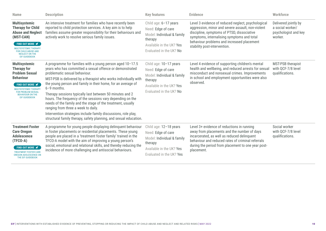| <b>Name</b>                                                                                                                                                                                                                              | <b>Description</b>                                                                                                                                                                                                                                                                                                                                                                                                                                                                                                                                                                                                                                                                  | <b>Key features</b>                                                                                                                           | <b>Evidence</b>                                                                                                                                                                                                                                                                   | Workforce                                                                   |
|------------------------------------------------------------------------------------------------------------------------------------------------------------------------------------------------------------------------------------------|-------------------------------------------------------------------------------------------------------------------------------------------------------------------------------------------------------------------------------------------------------------------------------------------------------------------------------------------------------------------------------------------------------------------------------------------------------------------------------------------------------------------------------------------------------------------------------------------------------------------------------------------------------------------------------------|-----------------------------------------------------------------------------------------------------------------------------------------------|-----------------------------------------------------------------------------------------------------------------------------------------------------------------------------------------------------------------------------------------------------------------------------------|-----------------------------------------------------------------------------|
| <b>Multisystemic</b><br><b>Therapy for Child</b><br><b>Abuse and Neglect</b><br>(MST-CAN)<br>FIND OUT MORE $\blacktriangleright$<br>MULTISYSTEMIC THERAPY<br><b>FOR CHILD ABUSE AND</b><br><b>NEGLECT ON THE</b><br><b>EIF GUIDEBOOK</b> | An intensive treatment for families who have recently been<br>reported to child protection services. A key aim is to help<br>families assume greater responsibility for their behaviours and<br>actively work to resolve serious family issues.                                                                                                                                                                                                                                                                                                                                                                                                                                     | Child age: 6-17 years<br>Need: Edge of care<br>Model: Individual & family<br>therapy<br>Available in the UK? Yes<br>Evaluated in the UK? No   | Level 3 evidence of reduced neglect, psychological<br>aggression, minor and severe assault, non-violent<br>discipline, symptoms of PTSD, dissociative<br>symptoms, internalising symptoms and total<br>behaviour problems and increased placement<br>stability post-intervention. | Delivered jointly by<br>a social worker/<br>psychologist and key<br>worker. |
| <b>Multisystemic</b><br><b>Therapy for</b><br><b>Problem Sexual</b><br><b>Behaviour</b><br>FIND OUT MORE <b></b><br><b>MULTISYSTEMIC THERAPY</b><br><b>FOR PROBLEM SEXUAL</b><br><b>BEHAVIOUR ON THE</b><br><b>EIF GUIDEBOOK</b>         | A programme for families with a young person aged 10-17.5<br>years who has committed a sexual offence or demonstrated<br>problematic sexual behaviour.<br>MST-PSB is delivered by a therapist who works individually with<br>the young person and family in their home, for an average of<br>$6 - 9$ months.<br>Therapy sessions typically last between 50 minutes and 2<br>hours. The frequency of the sessions vary depending on the<br>needs of the family and the stage of the treatment, usually<br>ranging from three a week to daily.<br>Intervention strategies include family discussions, role play,<br>structural family therapy, safety planning, and sexual education. | Child age: 10-17 years<br>Need: Edge of care<br>Model: Individual & family<br>therapy<br>Available in the UK? Yes<br>Evaluated in the UK? No  | Level 4 evidence of supporting children's mental<br>health and wellbeing, and reduced arrests for sexual<br>misconduct and nonsexual crimes. Improvements<br>in school and employment opportunities were also<br>observed.                                                        | <b>MST-PSB</b> therapist<br>with QCF-7/8 level<br>qualifications.           |
| <b>Treatment Foster</b><br><b>Care Oregon</b><br><b>Adolescence</b><br>$(TFCO-A)$<br>FIND OUT MORE <b></b><br><b>TREATMENT FOSTER CARE</b><br>OREGON ADOLESCENCE ON<br>THE EIF GUIDEBOOK                                                 | A programme for young people displaying delinquent behaviour<br>in foster placements or residential placements. These young<br>people are placed in a 'treatment foster family' trained in the<br>TFCO-A model with the aim of improving a young person's<br>social, emotional and relational skills, and thereby reducing the<br>incidence of more challenging and antisocial behaviours.                                                                                                                                                                                                                                                                                          | Child age: 12-18 years<br>Need: Edge of care<br>Model: Individual & family<br>therapy<br>Available in the UK? Yes<br>Evaluated in the UK? Yes | Level 3+ evidence of reductions in running<br>away from placements and the number of days<br>incarcerated, as well as reduced delinquent<br>behaviour and reduced rates of criminal referrals<br>during the period from placement to one year post-<br>placement.                 | Social worker<br>with QCF-7/8 level<br>qualifications.                      |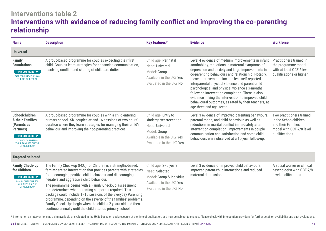# **Interventions table 2 Interventions with evidence of reducing family conflict and improving the co-parenting relationship**

| <b>Name</b>                                                                                                                                                                 | <b>Description</b>                                                                                                                                                                                                                                                                                                                                                                                                                                                                                                                                                                                                                 | Key features*                                                                                                                            | <b>Evidence</b>                                                                                                                                                                                                                                                                                                                                                                                                                                                                                                                                                       | <b>Workforce</b>                                                                                                         |
|-----------------------------------------------------------------------------------------------------------------------------------------------------------------------------|------------------------------------------------------------------------------------------------------------------------------------------------------------------------------------------------------------------------------------------------------------------------------------------------------------------------------------------------------------------------------------------------------------------------------------------------------------------------------------------------------------------------------------------------------------------------------------------------------------------------------------|------------------------------------------------------------------------------------------------------------------------------------------|-----------------------------------------------------------------------------------------------------------------------------------------------------------------------------------------------------------------------------------------------------------------------------------------------------------------------------------------------------------------------------------------------------------------------------------------------------------------------------------------------------------------------------------------------------------------------|--------------------------------------------------------------------------------------------------------------------------|
| <b>Universal</b>                                                                                                                                                            |                                                                                                                                                                                                                                                                                                                                                                                                                                                                                                                                                                                                                                    |                                                                                                                                          |                                                                                                                                                                                                                                                                                                                                                                                                                                                                                                                                                                       |                                                                                                                          |
| <b>Family</b><br><b>Foundations</b><br>FIND OUT MORE $\blacktriangleright$<br><b>FAMILY FOUNDATIONS ON</b><br>THE EIF GUIDEBOOK                                             | A group-based programme for couples expecting their first<br>child. Couples learn strategies for enhancing communication,<br>resolving conflict and sharing of childcare duties.                                                                                                                                                                                                                                                                                                                                                                                                                                                   | Child age: Perinatal<br>Need: Universal<br>Model: Group<br>Available in the UK? Yes<br>Evaluated in the UK? No                           | Level 4 evidence of medium improvements in infant<br>soothability, reductions in maternal symptoms of<br>depression and anxiety and large improvements in<br>co-parenting behaviours and relationship. Notably,<br>these improvements include less self-reported<br>interparental physical violence and parent-child<br>psychological and physical violence six-months<br>following intervention completion. There is also<br>evidence linking the intervention to improved child<br>behavioural outcomes, as rated by their teachers, at<br>age three and age seven. | Practitioners trained in<br>the programme model<br>with at least QCF-6 level<br>qualifications or higher.                |
| Schoolchildren<br>& their Families<br>(Parents as<br>Partners)<br>FIND OUT MORE <del></del><br><b>SCHOOLCHILDREN &amp;</b><br>THEIR FAMILIES ON THE<br><b>EIF GUIDEBOOK</b> | A group-based programme for couples with a child entering<br>primary school. Six couples attend 16 sessions of two hours'<br>duration where they learn strategies for managing their child's<br>behaviour and improving their co-parenting practices.                                                                                                                                                                                                                                                                                                                                                                              | Child age: Entry to<br>kindergarten/reception<br>Need: Universal<br>Model: Group<br>Available in the UK? Yes<br>Evaluated in the UK? Yes | Level 3 evidence of improved parenting behaviours,<br>parental mood, and child behaviour, as well as<br>reductions in marital conflict immediately after<br>intervention completion. Improvements in couple<br>communication and satisfaction and some child<br>behaviours were observed at a 10-year follow-up.                                                                                                                                                                                                                                                      | Two practitioners trained<br>in the Schoolchildren<br>and their Families'<br>model with QCF-7/8 level<br>qualifications. |
| <b>Targeted selected</b>                                                                                                                                                    |                                                                                                                                                                                                                                                                                                                                                                                                                                                                                                                                                                                                                                    |                                                                                                                                          |                                                                                                                                                                                                                                                                                                                                                                                                                                                                                                                                                                       |                                                                                                                          |
| <b>Family Check-up</b><br>for Children<br><b>FIND OUT MORE </b><br><b>FAMILY CHECK-UP FOR</b><br>CHILDREN ON THE<br><b>EIF GUIDEBOOK</b>                                    | The Family Check-up (FCU) for Children is a strengths-based,<br>family-centred intervention that provides parents with strategies<br>for encouraging positive child behaviour and discouraging<br>negative and aggressive child behaviour.<br>The programme begins with a Family Check-up assessment<br>that determines what parenting support is required. This<br>package could include 1-15 sessions of the Everyday Parenting<br>programme, depending on the severity of the families' problems.<br>Family Check-Ups begin when the child is 2 years old and then<br>continue annually until the child attends primary school. | Child age: 2-5 years<br>Need: Selected<br>Model: Group & Individual<br>Available in the UK? Yes<br>Evaluated in the UK? No               | Level 3 evidence of improved child behaviours,<br>improved parent-child interactions and reduced<br>maternal depression.                                                                                                                                                                                                                                                                                                                                                                                                                                              | A social worker or clinical<br>psychologist with QCF-7/8<br>level qualifications.                                        |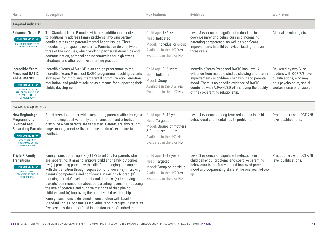| <b>Name</b>                                                                                                                                                                                            | <b>Description</b>                                                                                                                                                                                                                                                                                                                                                                                                                                                                                                                                                                                                                                                                                                                                                                                          | <b>Key features</b>                                                                                                                               | <b>Evidence</b>                                                                                                                                                                                                                                                                                | Workforce                                                                                                                                    |
|--------------------------------------------------------------------------------------------------------------------------------------------------------------------------------------------------------|-------------------------------------------------------------------------------------------------------------------------------------------------------------------------------------------------------------------------------------------------------------------------------------------------------------------------------------------------------------------------------------------------------------------------------------------------------------------------------------------------------------------------------------------------------------------------------------------------------------------------------------------------------------------------------------------------------------------------------------------------------------------------------------------------------------|---------------------------------------------------------------------------------------------------------------------------------------------------|------------------------------------------------------------------------------------------------------------------------------------------------------------------------------------------------------------------------------------------------------------------------------------------------|----------------------------------------------------------------------------------------------------------------------------------------------|
| <b>Targeted indicated</b>                                                                                                                                                                              |                                                                                                                                                                                                                                                                                                                                                                                                                                                                                                                                                                                                                                                                                                                                                                                                             |                                                                                                                                                   |                                                                                                                                                                                                                                                                                                |                                                                                                                                              |
| <b>Enhanced Triple P</b><br>FIND OUT MORE <del></del><br><b>ENHANCED TRIPLE-P ON</b><br>THE EIF GUIDEBOOK                                                                                              | The Standard Triple P model with three additional modules<br>to additionally address family problems involving partner<br>conflict, stress and parental mental health issues. Three<br>modules target specific concerns. Parents can do one, two or<br>three of the modules, which work on partner relationships and<br>communication, personal coping strategies for high stress<br>situations and other positive parenting practice.                                                                                                                                                                                                                                                                                                                                                                      | Child age: 1-5 years<br>Need: Indicated<br>Model: Individual or group<br>Available in the UK? Yes<br>Evaluated in the UK? No                      | Level 3 evidence of significant reductions in<br>coercive parenting behaviours and increasing<br>parenting competence, as well as significant<br>improvements in child behaviour, lasting for over<br>three years                                                                              | Clinical psychologists.                                                                                                                      |
| <b>Incredible Years</b><br><b>Preschool BASIC</b><br>and ADVANCE<br><b>FIND OUT MORE </b><br><b>INCREDIBLE YEARS</b><br>PRESCHOOL BASIC AND<br><b>ADVANCE ON THE</b><br><b>EIF GUIDEBOOK</b>           | Incredible Years ADVANCE is an add-on programme to the<br>Incredible Years Preschool BASIC programme, teaching parents<br>strategies for improving interparental communication, emotion<br>regulation, and problem-solving as a means for supporting their<br>child's development.                                                                                                                                                                                                                                                                                                                                                                                                                                                                                                                          | Child age: 3-6 years<br>Need: Indicated<br>Model: Group<br>Available in the UK? Yes<br>Evaluated in the UK? No                                    | Incredible Years Preschool BASIC has Level 4<br>evidence from multiple studies showing short-term<br>improvements in children's behaviour and parental<br>mood. There is no specific evidence of BASIC<br>combined with ADVANCED of improving the quality<br>of the co-parenting relationship. | Delivered by two IY co-<br>leaders with QCF-7/8 level<br>qualifications, who may<br>be a psychologist, social<br>worker, nurse or physician. |
| For separating parents                                                                                                                                                                                 |                                                                                                                                                                                                                                                                                                                                                                                                                                                                                                                                                                                                                                                                                                                                                                                                             |                                                                                                                                                   |                                                                                                                                                                                                                                                                                                |                                                                                                                                              |
| <b>New Beginnings</b><br><b>Programme for</b><br><b>Divorced and</b><br><b>Separating Parents</b><br>FIND OUT MORE <b></b><br><b>NEW BEGINNINGS</b><br><b>PROGRAMME ON THE</b><br><b>EIF GUIDEBOOK</b> | An intervention that provides separating parents with strategies<br>for improving positive family communication and effective<br>discipline when parents are separated. Parents are also taught<br>anger-management skills to reduce children's exposure to<br>conflict.                                                                                                                                                                                                                                                                                                                                                                                                                                                                                                                                    | Child age: 3-18 years<br>Need: Targeted<br>Model: Groups of mothers<br>& fathers separately<br>Available in the UK? No<br>Evaluated in the UK? No | Level 4 evidence of long-term reductions in child<br>behavioural and mental health problems.                                                                                                                                                                                                   | Practitioners with QCF-7/8<br>level qualifications.                                                                                          |
| <b>Triple P Family</b><br><b>Transitions</b><br>FIND OUT MORE <del></del><br><b>TRIPLE P FAMILY</b><br><b>TRANSITIONS ON THE</b><br><b>EIF GUIDEBOOK</b>                                               | Family Transitions Triple P (FTTP) Level 5 is for parents who<br>are separating. It aims to improve child and family outcomes<br>by: (1) providing parents with skills for managing and coping<br>with the transition through separation or divorce; (2) improving<br>parents' competence and confidence in raising children; (3)<br>reducing parents' level of emotional distress; (4) improving<br>parents' communication about co-parenting issues; (5) reducing<br>the use of coercive and punitive methods of disciplining<br>children; and (6) improving the parent-child relationship.<br>Family Transitions is delivered in conjunction with Level 4<br>Standard Triple P, to families individually or in groups. It exists as<br>five sessions that are offered in addition to the Standard model. | Child age: 1-17 years<br>Need: Targeted<br>Model: Group or individual<br>Available in the UK? Yes<br>Evaluated in the UK? No                      | Level 3 evidence of significant reductions in<br>child behaviour problems and coercive parenting<br>behaviours in the first year and improved parental<br>mood and co-parenting skills at the one-year follow-<br>up.                                                                          | Practitioners with QCF-7/8<br>level qualifications.                                                                                          |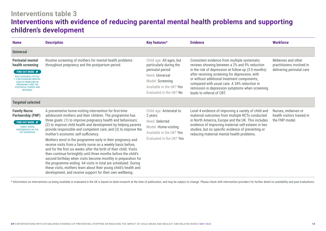# **Interventions table 3 Interventions with evidence of reducing parental mental health problems and supporting children's development**

| <b>Name</b>                                                                                                                                                                                                                               | <b>Description</b>                                                                                                                                                                                                                                                                                                                                                                                                                                                                                                                                                                                                                                                                                                                                                                                                                                                                                          | Key features*                                                                                                                                                         | <b>Evidence</b>                                                                                                                                                                                                                                                                                                                                                                       | <b>Workforce</b>                                                             |
|-------------------------------------------------------------------------------------------------------------------------------------------------------------------------------------------------------------------------------------------|-------------------------------------------------------------------------------------------------------------------------------------------------------------------------------------------------------------------------------------------------------------------------------------------------------------------------------------------------------------------------------------------------------------------------------------------------------------------------------------------------------------------------------------------------------------------------------------------------------------------------------------------------------------------------------------------------------------------------------------------------------------------------------------------------------------------------------------------------------------------------------------------------------------|-----------------------------------------------------------------------------------------------------------------------------------------------------------------------|---------------------------------------------------------------------------------------------------------------------------------------------------------------------------------------------------------------------------------------------------------------------------------------------------------------------------------------------------------------------------------------|------------------------------------------------------------------------------|
| <b>Universal</b>                                                                                                                                                                                                                          |                                                                                                                                                                                                                                                                                                                                                                                                                                                                                                                                                                                                                                                                                                                                                                                                                                                                                                             |                                                                                                                                                                       |                                                                                                                                                                                                                                                                                                                                                                                       |                                                                              |
| <b>Perinatal mental</b><br>health screening<br>FIND OUT MORE $\blacktriangledown$<br>NICE GUIDANCE (CG192):<br><b>1.5 RECOGNISING MENTAL</b><br><b>HEALTH PROBLEMS IN</b><br>PREGNANCY AND THE<br>POSTNATAL PERIOD AND<br><b>REFERRAL</b> | Routine screening of mothers for mental health problems<br>throughout pregnancy and the postpartum period.                                                                                                                                                                                                                                                                                                                                                                                                                                                                                                                                                                                                                                                                                                                                                                                                  | Child age: All ages, but<br>particularly during the<br>perinatal period<br>Need: Universal<br>Model: Screening<br>Available in the UK? Yes<br>Evaluated in the UK? No | Consistent evidence from multiple systematic<br>reviews showing between a 2% and 9% reduction<br>in the risk of depression at follow-up (3-5 months)<br>after receiving screening for depression, with<br>or without additional treatment components,<br>compared with usual care. A 34% reduction in<br>remission in depression symptoms when screening<br>leads to referral of CBT. | Midwives and other<br>practitioners involved in<br>delivering perinatal care |
| <b>Targeted selected</b>                                                                                                                                                                                                                  |                                                                                                                                                                                                                                                                                                                                                                                                                                                                                                                                                                                                                                                                                                                                                                                                                                                                                                             |                                                                                                                                                                       |                                                                                                                                                                                                                                                                                                                                                                                       |                                                                              |
| <b>Family Nurse</b><br><b>Partnership (FNP)</b><br>FIND OUT MORE $\blacktriangleright$<br><b>FAMILY NURSE</b><br><b>PARTNERSHIP ON THE</b><br><b>EIF GUIDEBOOK</b>                                                                        | A preventative home-visiting intervention for first-time<br>adolescent mothers and their children. The programme has<br>three goals: (1) to improve pregnancy health and behaviours;<br>(2) to improve child health and development by helping parents<br>provide responsible and competent care; and (3) to improve the<br>mother's economic self-sufficiency.<br>Mothers enrol in the programme early in their pregnancy and<br>receive visits from a family nurse on a weekly basis before,<br>and for the first six weeks after the birth of their child. Visits<br>then continue fortnightly until three months before the child's<br>second birthday when visits become monthly in preparation for<br>the programme ending. 64 visits in total are scheduled. During<br>these visits, mothers learn about their young child's health and<br>development, and receive support for their own wellbeing. | Child age: Antenatal to<br>2 years<br>Need: Selected<br>Model: Home-visiting<br>Available in the UK? Yes<br>Evaluated in the UK? Yes                                  | Level 4 evidence of improving a variety of child and<br>maternal outcomes from multiple RCTs conducted<br>in North America, Europe and the UK. This includes<br>evidence of improving maternal self-esteem in two<br>studies, but no specific evidence of preventing or<br>reducing maternal mental health problems.                                                                  | Nurses, midwives or<br>health visitors trained in<br>the FNP model.          |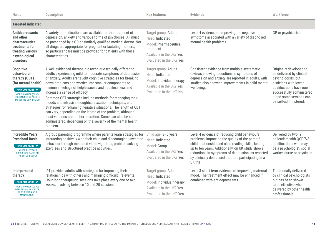| Name                                                                                                                                                                                   | <b>Description</b>                                                                                                                                                                                                                                                                                                                                                                                                                                                                                                                                                                                                                                                                                                                                   | <b>Key features</b>                                                                                                                   | <b>Evidence</b>                                                                                                                                                                                                                                                                                                                      | Workforce                                                                                                                                                                                                       |
|----------------------------------------------------------------------------------------------------------------------------------------------------------------------------------------|------------------------------------------------------------------------------------------------------------------------------------------------------------------------------------------------------------------------------------------------------------------------------------------------------------------------------------------------------------------------------------------------------------------------------------------------------------------------------------------------------------------------------------------------------------------------------------------------------------------------------------------------------------------------------------------------------------------------------------------------------|---------------------------------------------------------------------------------------------------------------------------------------|--------------------------------------------------------------------------------------------------------------------------------------------------------------------------------------------------------------------------------------------------------------------------------------------------------------------------------------|-----------------------------------------------------------------------------------------------------------------------------------------------------------------------------------------------------------------|
| <b>Targeted indicated</b>                                                                                                                                                              |                                                                                                                                                                                                                                                                                                                                                                                                                                                                                                                                                                                                                                                                                                                                                      |                                                                                                                                       |                                                                                                                                                                                                                                                                                                                                      |                                                                                                                                                                                                                 |
| <b>Antidepressants</b><br>and other<br>pharmaceutical<br>treatments for<br>treating various<br>psychological<br>disorders                                                              | A variety of medications are available for the treatment of<br>depression, anxiety and various forms of psychoses. All must<br>be prescribed by a GP or similarly qualified medical doctor. Not<br>all drugs are appropriate for pregnant or lactating mothers,<br>so particular care must be provided for patients with these<br>characteristics.                                                                                                                                                                                                                                                                                                                                                                                                   | Target group: Adults<br>Need: Indicated<br>Model: Pharmaceutical<br>treatment<br>Available in the UK? Yes<br>Evaluated in the UK? Yes | Level 4 evidence of improving the negative<br>symptoms associated with a variety of diagnosed<br>mental health problems.                                                                                                                                                                                                             | GP or psychiatrist.                                                                                                                                                                                             |
| <b>Cognitive</b><br>behavioural<br>therapy (CBT)<br>(for mental health)<br>FIND OUT MORE<br><b>NICE GUIDANCE (CG90):</b><br><b>TREATMENT FOR MILD TO</b><br><b>MODERATE DEPRESSION</b> | A well-evidenced therapeutic technique typically offered to<br>adults experiencing mild to moderate symptoms of depression<br>or anxiety. Adults are taught cognitive strategies for breaking<br>down problems and worries into smaller components to<br>minimise feelings of helplessness and hopelessness and<br>increase a sense of efficacy.<br>Common CBT strategies include methods for managing their<br>moods and intrusive thoughts, relaxation techniques, and<br>strategies for reframing negative situations. The length of CBT<br>can vary, depending on the length of the problem, although<br>most versions are of short duration. Some can also be self-<br>administered, depending on the severity of the mental health<br>problem. | Target group: Adults<br>Need: Indicated<br>Model: Individual therapy<br>Available in the UK? Yes<br>Evaluated in the UK? No           | Consistent evidence from multiple systematic<br>reviews showing reductions in symptoms of<br>depression and anxiety are reported in adults, with<br>studies also showing improvements in child mental<br>wellbeing.                                                                                                                  | Originally developed to<br>be delivered by clinical<br>psychologists, but<br>clinicians with lower<br>qualifications have now<br>successfully administered<br>it and some versions can<br>be self-administered. |
| <b>Incredible Years</b><br><b>Preschool Basic</b><br>FIND OUT MORE <del></del><br><b>INCREDIBLE YEARS</b><br>PRESCHOOL BASIC ON<br>THE EIF GUIDEBOOK                                   | A group parenting programme where parents learn strategies for<br>interacting positively with their child and discouraging unwanted<br>behaviour through mediated video vignettes, problem-solving<br>exercises and structured practice activities.                                                                                                                                                                                                                                                                                                                                                                                                                                                                                                  | Child age: 3-6 years<br>Need: Indicated<br>Model: Group<br>Available in the UK? Yes<br>Evaluated in the UK? Yes                       | Level 4 evidence of reducing child behavioural<br>problems, improving the quality of the parent/<br>child relationship and child reading skills, lasting<br>up to ten years. Additionally, on UK study shows<br>reductions in symptoms of depression, as reported<br>by clinically depressed mothers participating in a<br>UK trial. | Delivered by two IY<br>co-leaders with QCF-7/8<br>qualifications who may<br>be a psychologist, social<br>worker, nurse or physician.                                                                            |
| Interpersonal<br>therapy<br><b>FIND OUT MORE </b><br><b>NICE GUIDANCE (CG90):</b><br><b>DEPRESSION IN ADULTS:</b><br><b>RECOGNITION AND</b><br><b>MANAGEMENT</b>                       | IPT provides adults with strategies for improving their<br>relationships with others and managing difficult life events.<br>Hour-long therapeutic sessions take place every one or two<br>weeks, involving between 10 and 20 sessions.                                                                                                                                                                                                                                                                                                                                                                                                                                                                                                               | Target group: Adults<br>Need: Indicated<br>Model: Individual therapy<br>Available in the UK? Yes<br>Evaluated in the UK? Yes          | Level 3 short-term evidence of improving maternal<br>mood. The treatment effect may be enhanced if<br>combined with antidepressants.                                                                                                                                                                                                 | <b>Traditionally delivered</b><br>by clinical psychologists<br>but has been shown<br>to be effective when<br>delivered by other health<br>professionals.                                                        |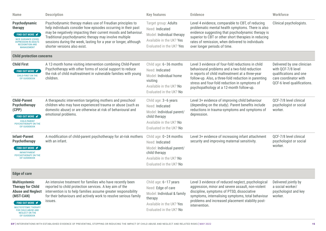| <b>Name</b>                                                                                                                                                                                                                      | <b>Description</b>                                                                                                                                                                                                                                                                                                                                          | <b>Key features</b>                                                                                                                           | <b>Evidence</b>                                                                                                                                                                                                                                                                                             | <b>Workforce</b>                                                                                                                   |  |
|----------------------------------------------------------------------------------------------------------------------------------------------------------------------------------------------------------------------------------|-------------------------------------------------------------------------------------------------------------------------------------------------------------------------------------------------------------------------------------------------------------------------------------------------------------------------------------------------------------|-----------------------------------------------------------------------------------------------------------------------------------------------|-------------------------------------------------------------------------------------------------------------------------------------------------------------------------------------------------------------------------------------------------------------------------------------------------------------|------------------------------------------------------------------------------------------------------------------------------------|--|
| Psychodynamic<br>therapy<br>FIND OUT MORE <del></del><br><b>NICE GUIDANCE (CG90)</b><br><b>DEPRESSION IN ADULTS:</b><br><b>RECOGNITION AND</b><br><b>MANAGEMENT</b>                                                              | Psychodynamic therapy makes use of Freudian principles to<br>help individuals consider how episodes occurring in their past<br>may be negatively impacting their current moods and behaviour.<br>Traditional psychodynamic therapy may involve multiple<br>sessions during the week, lasting for a year or longer, although<br>shorter versions also exist. | Target group: Adults<br>Need: Indicated<br>Model: Individual therapy<br>Available in the UK? Yes<br>Evaluated in the UK? Yes                  | Level 4 evidence, comparable to CBT, of reducing<br>problematic mental health symptoms. There is also<br>evidence suggesting that psychodynamic therapy is<br>superior to CBT or other short therapies in reducing<br>rates of remission, when delivered to individuals<br>over longer periods of time.     | Clinical psychologists.                                                                                                            |  |
| <b>Child protection concerns</b>                                                                                                                                                                                                 |                                                                                                                                                                                                                                                                                                                                                             |                                                                                                                                               |                                                                                                                                                                                                                                                                                                             |                                                                                                                                    |  |
| <b>Child First</b><br>FIND OUT MORE <del></del><br><b>CHILD-FIRST ON THE</b><br><b>EIF GUIDEBOOK</b>                                                                                                                             | A 12-month home visiting intervention combining Child-Parent<br>Psychotherapy with other forms of social support to reduce<br>the risk of child maltreatment in vulnerable families with young<br>children.                                                                                                                                                 | Child age: 6-36 months<br>Need: Indicated<br>Model: Individual home<br>visiting<br>Available in the UK? No<br>Evaluated in the UK? No         | Level 3 evidence of four-fold reductions in child<br>behavioural problems and a two-fold reduction<br>in reports of child maltreatment at a three-year<br>follow-up. Also, a three-fold reduction in parenting<br>stress and four-fold reduction in symptoms of<br>psychopathology at a 12-month follow-up. | Delivered by one clinician<br>with QCF-7/8 level<br>qualifications and one<br>care coordinator with<br>QCF-6 level qualifications. |  |
| <b>Child-Parent</b><br><b>Psychotherapy</b><br>(CPP)<br>FIND OUT MORE <del></del><br><b>CHILD-PARENT</b><br>PSYCHOTHERAPY ON THE<br><b>EIF GUIDEBOOK</b>                                                                         | A therapeutic intervention targeting mothers and preschool<br>children who may have experienced trauma or abuse (such as<br>domestic abuse) or are otherwise at risk of behavioural and<br>emotional problems.                                                                                                                                              | Child age: 3-6 years<br>Need: Indicated<br>Model: Individual parent/<br>child therapy<br>Available in the UK? No<br>Evaluated in the UK? No   | Level 3+ evidence of improving child behaviour<br>(depending on the study). Parent benefits include<br>reductions in trauma-symptoms and symptoms of<br>depression.                                                                                                                                         | QCF-7/8 level clinical<br>psychologist or social<br>worker.                                                                        |  |
| <b>Infant-Parent</b><br><b>Psychotherapy</b><br>FIND OUT MORE <del></del><br><b>INFANT-PARENT</b><br>PSYCHOTHERAPY ON THE<br><b>EIF GUIDEBOOK</b>                                                                                | A modification of child-parent psychotherapy for at-risk mothers<br>with an infant.                                                                                                                                                                                                                                                                         | Child age: 0-24 months<br>Need: Indicated<br>Model: Individual parent/<br>child therapy<br>Available in the UK? No<br>Evaluated in the UK? No | Level 3+ evidence of increasing infant attachment<br>security and improving maternal sensitivity.                                                                                                                                                                                                           | QCF-7/8 level clinical<br>psychologist or social<br>worker.                                                                        |  |
| <b>Edge of care</b>                                                                                                                                                                                                              |                                                                                                                                                                                                                                                                                                                                                             |                                                                                                                                               |                                                                                                                                                                                                                                                                                                             |                                                                                                                                    |  |
| <b>Multisystemic</b><br><b>Therapy for Child</b><br><b>Abuse and Neglect</b><br>(MST-CAN)<br>FIND OUT MORE $\blacktriangledown$<br>MULTISYSTEMIC THERAPY<br>FOR CHILD ABUSE AND<br><b>NEGLECT ON THE</b><br><b>EIF GUIDEBOOK</b> | An intensive treatment for families who have recently been<br>reported to child protection services. A key aim of the<br>intervention is to help families assume greater responsibility<br>for their behaviours and actively work to resolve serious family<br>issues.                                                                                      | Child age: 6-17 years<br>Need: Edge of care<br>Model: Individual & family<br>therapy<br>Available in the UK? Yes<br>Evaluated in the UK? No   | Level 3 evidence of reduced neglect, psychological<br>aggression, minor and severe assault, non-violent<br>discipline, symptoms of PTSD, dissociative<br>symptoms, internalising symptoms, total behaviour<br>problems and increased placement stability post-<br>intervention.                             | Delivered jointly by<br>a social worker/<br>psychologist and key<br>worker.                                                        |  |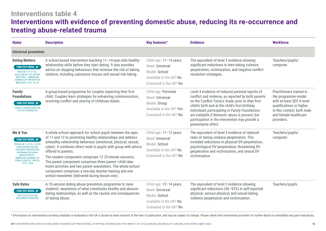# **Interventions table 4 Interventions with evidence of preventing domestic abuse, reducing its re-occurrence and treating abuse-related trauma**

| <b>Name</b>                                                                                                                                                                                                                                     | <b>Description</b>                                                                                                                                                                                                                                                                                                                                                                                                                                                                                                                                                                        | Key features*                                                                                                    | <b>Evidence</b>                                                                                                                                                                                                                                                                                                                                                                                    | <b>Workforce</b>                                                                                                                                                               |
|-------------------------------------------------------------------------------------------------------------------------------------------------------------------------------------------------------------------------------------------------|-------------------------------------------------------------------------------------------------------------------------------------------------------------------------------------------------------------------------------------------------------------------------------------------------------------------------------------------------------------------------------------------------------------------------------------------------------------------------------------------------------------------------------------------------------------------------------------------|------------------------------------------------------------------------------------------------------------------|----------------------------------------------------------------------------------------------------------------------------------------------------------------------------------------------------------------------------------------------------------------------------------------------------------------------------------------------------------------------------------------------------|--------------------------------------------------------------------------------------------------------------------------------------------------------------------------------|
| <b>Universal prevention</b>                                                                                                                                                                                                                     |                                                                                                                                                                                                                                                                                                                                                                                                                                                                                                                                                                                           |                                                                                                                  |                                                                                                                                                                                                                                                                                                                                                                                                    |                                                                                                                                                                                |
| <b>Dating Matters</b><br>FIND OUT MORE <del></del><br>NIOLON, P. H. ET AL.<br>(2019) AN RCT OF DATING<br><b>MATTERS AMERICAN</b><br><b>JOURNAL OF PREVENTIVE</b><br>MEDICINE, 57(1), 13-23                                                      | A school-based intervention teaching 11-14-year-olds healthy<br>relationship skills before they start dating. It also provides<br>advice on stopping behaviours that increase the risk of dating<br>violence, including substance misuse and sexual risk-taking.                                                                                                                                                                                                                                                                                                                          | Child age: 11-14 years<br>Need: Universal<br>Model: School<br>Available in the UK? No<br>Evaluated in the UK? No | The equivalent of level 3 evidence showing<br>significant reductions in teen dating violence<br>perpetration, victimisation, and negative conflict<br>resolution strategies.                                                                                                                                                                                                                       | Teachers/pupils/<br>computer.                                                                                                                                                  |
| <b>Family</b><br><b>Foundations</b><br>FIND OUT MORE <del></del><br><b>FAMILY FOUNDATIONS ON</b><br>THE EIF GUIDEBOOK                                                                                                                           | A group-based programme for couples expecting their first<br>child. Couples learn strategies for enhancing communication,<br>resolving conflict and sharing of childcare duties.                                                                                                                                                                                                                                                                                                                                                                                                          | Child age: Perinatal<br>Need: Universal<br>Model: Group<br>Available in the UK? Yes<br>Evaluated in the UK? No   | Level 4 evidence of reduced parental reports of<br>conflict and violence, as reported by both parents<br>on the Conflict Tactics Scale, prior to their first<br>child's birth and at the child's first birthday.<br>Individuals participating in Family Foundations<br>are ineligible if domestic abuse is present, but<br>participation in the intervention may provide a<br>preventative effect. | Practitioners trained in<br>the programme model<br>with at least QCF-6 level<br>qualifications or higher.<br>In this context, both male<br>and female healthcare<br>providers. |
| Me & You<br>FIND OUT MORE <del></del><br>PESKIN, M. F. ET AL. (2019)<br><b>ADOLESCENT DATING</b><br><b>VIOLENCE PREVENTION</b><br><b>PROGRAM FOR EARLY</b><br>ADOLESCENTS<br><b>AMERICAN JOURNAL OF</b><br>PUBLIC HEALTH, 109(10),<br>1419-1428 | A whole-school approach for school pupils between the ages<br>of 11 and 12 to promoting healthy relationships and address<br>unhealthy relationship behaviour (emotional, physical, sexual,<br>cyber). It combines direct work to pupils with group with advice<br>offered to parents.<br>The student component comprises 12 25-minute sessions.<br>The parent component comprises three parent-child take-<br>home activities and two parent newsletters. The whole-school<br>component comprises a two-day teacher training and one<br>school newsletter (delivered during lesson one). | Child age: 11-12 years<br>Need: Universal<br>Model: School<br>Available in the UK? No<br>Evaluated in the UK? No | The equivalent of level 3 evidence of reduced<br>rates of dating violence perpetration. This<br>included reductions in physical DV perpetration,<br>psychological DV perpetration, threatening DV<br>perpetration and victimisation, and sexual DV<br>victimisation.                                                                                                                               | Teachers/pupils/<br>computer.                                                                                                                                                  |
| <b>Safe Dates</b><br>FIND OUT MORE <b></b><br><b>SAFE DATES ON THE</b><br><b>BLUEPRINTS REGISTRY</b>                                                                                                                                            | A 10-session dating abuse prevention programme to raise<br>students' awareness of what constitutes healthy and abusive<br>dating relationships, as well as the causes and consequences<br>of dating abuse.                                                                                                                                                                                                                                                                                                                                                                                | Child age: 12-14 years<br>Need: Universal<br>Model: School<br>Available in the UK? No<br>Evaluated in the UK? No | The equivalent of level 3 evidence showing<br>significant reductions (56-92%) in self-reported<br>physical, serious physical, and sexual dating<br>violence perpetration and victimisation.                                                                                                                                                                                                        | Teachers/pupils.                                                                                                                                                               |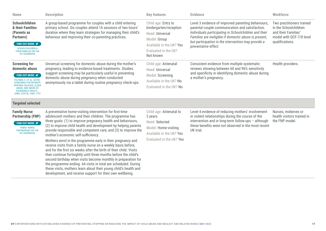| <b>Name</b>                                                                                                                                                                                                                                           | <b>Description</b>                                                                                                                                                                                                                                                                                                                                                                                                                                                                                                                                                                                                                                                                                                                                                                                                                                                                                          | <b>Key features</b>                                                                                                                               | <b>Evidence</b>                                                                                                                                                                                                                                                                                        | Workforce                                                                                                                |
|-------------------------------------------------------------------------------------------------------------------------------------------------------------------------------------------------------------------------------------------------------|-------------------------------------------------------------------------------------------------------------------------------------------------------------------------------------------------------------------------------------------------------------------------------------------------------------------------------------------------------------------------------------------------------------------------------------------------------------------------------------------------------------------------------------------------------------------------------------------------------------------------------------------------------------------------------------------------------------------------------------------------------------------------------------------------------------------------------------------------------------------------------------------------------------|---------------------------------------------------------------------------------------------------------------------------------------------------|--------------------------------------------------------------------------------------------------------------------------------------------------------------------------------------------------------------------------------------------------------------------------------------------------------|--------------------------------------------------------------------------------------------------------------------------|
| Schoolchildren<br>& their Families<br>(Parents as<br>Partners)<br><b>FIND OUT MORE </b> <del></del><br><b>SCHOOLCHILDREN &amp;</b><br>THEIR FAMILIES ON THE<br><b>EIF GUIDEBOOK</b>                                                                   | A group-based programme for couples with a child entering<br>primary school. Six couples attend 16 sessions of two hours'<br>duration where they learn strategies for managing their child's<br>behaviour and improving their co-parenting practices.                                                                                                                                                                                                                                                                                                                                                                                                                                                                                                                                                                                                                                                       | Child age: Entry to<br>kindergarten/reception<br>Need: Universal<br>Model: Group<br>Available in the UK? Yes<br>Evaluated in the UK?<br>Not known | Level 3 evidence of improved parenting behaviours,<br>parental couple communication and satisfaction.<br>Individuals participating in Schoolchildren and their<br>Families are ineligible if domestic abuse is present,<br>but participation in the intervention may provide a<br>preventative effect. | Two practitioners trained<br>in the Schoolchildren<br>and their Families'<br>model with QCF-7/8 level<br>qualifications. |
| <b>Screening for</b><br>domestic abuse<br>FIND OUT MORE <b></b><br><b>FELTNER, C. ET AL. (2018)</b><br><b>SCREENING FOR INTIMATE</b><br>PARTNER VIOLENCE, ELDER<br><b>ABUSE, AND ABUSE OF</b><br><b>VULNERABLE ADULTS</b><br>JAMA, 320(16), 1688-1701 | Universal screening for domestic abuse during the mother's<br>pregnancy, leading to evidence-based treatments. Studies<br>suggest screening may be particularly useful in preventing<br>domestic abuse during pregnancy when conducted<br>anonymously via a tablet during routine pregnancy check-ups.                                                                                                                                                                                                                                                                                                                                                                                                                                                                                                                                                                                                      |                                                                                                                                                   | Consistent evidence from multiple systematic<br>reviews showing between 60 and 96% sensitivity<br>and specificity in identifying domestic abuse during<br>a mother's pregnancy.                                                                                                                        | Health providers.                                                                                                        |
| <b>Targeted selected</b>                                                                                                                                                                                                                              |                                                                                                                                                                                                                                                                                                                                                                                                                                                                                                                                                                                                                                                                                                                                                                                                                                                                                                             |                                                                                                                                                   |                                                                                                                                                                                                                                                                                                        |                                                                                                                          |
| <b>Family Nurse</b><br><b>Partnership (FNP)</b><br>FIND OUT MORE <b></b><br><b>FAMILY NURSE</b><br><b>PARTNERSHIP ON THE</b><br><b>EIF GUIDEBOOK</b>                                                                                                  | A preventative home-visiting intervention for first-time<br>adolescent mothers and their children. The programme has<br>three goals: (1) to improve pregnancy health and behaviours;<br>(2) to improve child health and development by helping parents<br>provide responsible and competent care; and (3) to improve the<br>mother's economic self-sufficiency.<br>Mothers enrol in the programme early in their pregnancy and<br>receive visits from a family nurse on a weekly basis before,<br>and for the first six weeks after the birth of their child. Visits<br>then continue fortnightly until three months before the child's<br>second birthday when visits become monthly in preparation for<br>the programme ending. 64 visits in total are scheduled. During<br>these visits, mothers learn about their young child's health and<br>development, and receive support for their own wellbeing. | Child age: Antenatal to<br>2 years<br>Need: Selected<br>Model: Home-visiting<br>Available in the UK? Yes<br>Evaluated in the UK? Yes              | Level 4 evidence of reducing mothers' involvement<br>in violent relationships during the course of the<br>intervention and in long-term follow-ups - although<br>these benefits were not observed in the most recent<br>UK trial.                                                                      | Nurses, midwives or<br>health visitors trained in<br>the FNP model.                                                      |
|                                                                                                                                                                                                                                                       |                                                                                                                                                                                                                                                                                                                                                                                                                                                                                                                                                                                                                                                                                                                                                                                                                                                                                                             |                                                                                                                                                   |                                                                                                                                                                                                                                                                                                        |                                                                                                                          |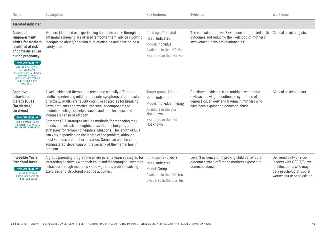| <b>Name</b>                                                                                                                                                                                                                                                                                                                               | <b>Description</b>                                                                                                                                                                                                                                                                                                                                                                                                                                                                                                                                                                                                                                                                                                                                   | <b>Key features</b>                                                                                                                            | <b>Evidence</b>                                                                                                                                                                    | Workforce                                                                                                                                    |
|-------------------------------------------------------------------------------------------------------------------------------------------------------------------------------------------------------------------------------------------------------------------------------------------------------------------------------------------|------------------------------------------------------------------------------------------------------------------------------------------------------------------------------------------------------------------------------------------------------------------------------------------------------------------------------------------------------------------------------------------------------------------------------------------------------------------------------------------------------------------------------------------------------------------------------------------------------------------------------------------------------------------------------------------------------------------------------------------------------|------------------------------------------------------------------------------------------------------------------------------------------------|------------------------------------------------------------------------------------------------------------------------------------------------------------------------------------|----------------------------------------------------------------------------------------------------------------------------------------------|
| <b>Targeted indicated</b>                                                                                                                                                                                                                                                                                                                 |                                                                                                                                                                                                                                                                                                                                                                                                                                                                                                                                                                                                                                                                                                                                                      |                                                                                                                                                |                                                                                                                                                                                    |                                                                                                                                              |
| <b>Antenatal</b><br>'empowerment'<br>advice for mothers<br>identified at risk<br>of domestic abuse<br>during pregnancy<br>FIND OUT MORE <del></del><br>KIELY, M. ET AL. (2010).<br><b>AN INTEGRATED</b><br><b>INTERVENTION TO REDUCE</b><br><b>INTIMATE PARTNER</b><br><b>VIOLENCE OBSTETRICS</b><br>AND GYNECOLOGY,<br>$115(2-1)$ , 273. | Mothers identified as experiencing domestic abuse through<br>antenatal screening are offered 'empowerment' advice involving<br>recognising abuse/coercion in relationships and developing a<br>safety plan.                                                                                                                                                                                                                                                                                                                                                                                                                                                                                                                                          | Child age: Perinatal<br>Need: Indicated<br>Model: Individual<br>Available in the UK? No<br>Evaluated in the UK? No                             | The equivalent of level 3 evidence of improved birth<br>outcomes and reducing the likelihood of mothers'<br>involvement in violent relationships.                                  | Clinical psychologists.                                                                                                                      |
| <b>Cognitive</b><br>behavioural<br>therapy (CBT)<br>(for victims/<br>survivors)<br>FIND OUT MORE $\blacktriangledown$<br><b>NICE GUIDANCE (CG90):</b><br><b>TREATMENT FOR MILD TO</b><br><b>MODERATE DEPRESSION</b>                                                                                                                       | A well-evidenced therapeutic technique typically offered to<br>adults experiencing mild to moderate symptoms of depression<br>or anxiety. Adults are taught cognitive strategies for breaking<br>down problems and worries into smaller components to<br>minimise feelings of helplessness and hopelessness and<br>increase a sense of efficacy.<br>Common CBT strategies include methods for managing their<br>moods and intrusive thoughts, relaxation techniques, and<br>strategies for reframing negative situations. The length of CBT<br>can vary, depending on the length of the problem, although<br>most versions are of short duration. Some can also be self-<br>administered, depending on the severity of the mental health<br>problem. | Target group: Adults<br>Need: Indicated<br>Model: Individual therapy<br>Available in the UK?<br>Not known<br>Evaluated in the UK?<br>Not known | Consistent evidence from multiple systematic<br>reviews showing reductions in symptoms of<br>depression, anxiety and trauma in mothers who<br>have been exposed to domestic abuse. | Clinical psychologists.                                                                                                                      |
| <b>Incredible Years</b><br><b>Preschool Basic</b><br>FIND OUT MORE <del></del><br><b>INCREDIBLE YEARS</b><br>PRESCHOOL BASIC ON<br>THE EIF GUIDEBOOK                                                                                                                                                                                      | A group parenting programme where parents learn strategies for<br>interacting positively with their child and discouraging unwanted<br>behaviour through mediated video vignettes, problem-solving<br>exercises and structured practice activities.                                                                                                                                                                                                                                                                                                                                                                                                                                                                                                  | Child age: 3-6 years<br>Need: Indicated<br>Model: Group<br>Available in the UK? Yes<br>Evaluated in the UK? Yes                                | Level 3 evidence of improving child behavioural<br>outcomes when offered to mothers exposed to<br>domestic abuse.                                                                  | Delivered by two IY co-<br>leaders with QCF-7/8 level<br>qualifications, who may<br>be a psychologist, social<br>worker, nurse or physician. |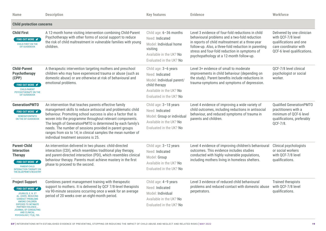| <b>Name</b>                                                                                                                                                                                                                                                                                        | <b>Description</b>                                                                                                                                                                                                                                                                                                                                                                                                                                                                   | <b>Key features</b>                                                                                                                         | <b>Evidence</b>                                                                                                                                                                                                                                                                                             | Workforce                                                                                                                          |
|----------------------------------------------------------------------------------------------------------------------------------------------------------------------------------------------------------------------------------------------------------------------------------------------------|--------------------------------------------------------------------------------------------------------------------------------------------------------------------------------------------------------------------------------------------------------------------------------------------------------------------------------------------------------------------------------------------------------------------------------------------------------------------------------------|---------------------------------------------------------------------------------------------------------------------------------------------|-------------------------------------------------------------------------------------------------------------------------------------------------------------------------------------------------------------------------------------------------------------------------------------------------------------|------------------------------------------------------------------------------------------------------------------------------------|
| <b>Child protection concerns</b>                                                                                                                                                                                                                                                                   |                                                                                                                                                                                                                                                                                                                                                                                                                                                                                      |                                                                                                                                             |                                                                                                                                                                                                                                                                                                             |                                                                                                                                    |
| <b>Child First</b><br>FIND OUT MORE <del></del><br><b>CHILD-FIRST ON THE</b><br><b>EIF GUIDEBOOK</b>                                                                                                                                                                                               | A 12-month home visiting intervention combining Child-Parent<br>Psychotherapy with other forms of social support to reduce<br>the risk of child maltreatment in vulnerable families with young<br>children.                                                                                                                                                                                                                                                                          | Child age: 6-36 months<br>Need: Indicated<br>Model: Individual home<br>visiting<br>Available in the UK? No<br>Evaluated in the UK? No       | Level 3 evidence of four-fold reductions in child<br>behavioural problems and a two-fold reduction<br>in reports of child maltreatment at a three-year<br>follow-up. Also, a three-fold reduction in parenting<br>stress and four-fold reduction in symptoms of<br>psychopathology at a 12-month follow-up. | Delivered by one clinician<br>with QCF-7/8 level<br>qualifications and one<br>care coordinator with<br>QCF-6 level qualifications. |
| <b>Child-Parent</b><br><b>Psychotherapy</b><br>(CPP)<br>FIND OUT MORE <del></del><br><b>CHILD-PARENT</b><br>PSYCHOTHERAPY ON THE<br><b>EIF GUIDEBOOK</b>                                                                                                                                           | A therapeutic intervention targeting mothers and preschool<br>children who may have experienced trauma or abuse (such as<br>domestic abuse) or are otherwise at risk of behavioural and<br>emotional problems.                                                                                                                                                                                                                                                                       | Child age: 3-6 years<br>Need: Indicated<br>Model: Individual parent/<br>child therapy<br>Available in the UK? No<br>Evaluated in the UK? No | Level 3+ evidence of small to moderate<br>improvements in child behaviour (depending on<br>the study). Parent benefits include reductions in<br>trauma-symptoms and symptoms of depression.                                                                                                                 | QCF-7/8 level clinical<br>psychologist or social<br>worker.                                                                        |
| <b>GenerationPMTO</b><br>FIND OUT MORE <b></b><br><b>GENERATIONPMTO</b><br>ON THE EIF GUIDEBOOK                                                                                                                                                                                                    | An intervention that teaches parents effective family<br>management skills to reduce antisocial and problematic child<br>behaviour. Promoting school success is also a factor that is<br>woven into the programme throughout relevant components.<br>The length of GenerationPMTO is determined by each family's<br>needs. The number of sessions provided in parent groups<br>ranges from six to 14; in clinical samples the mean number of<br>individual treatment sessions is 25. | Child age: 3-18 years<br>Need: Indicated<br>Model: Group or individual<br>Available in the UK? No<br>Evaluated in the UK? No                | Level 4 evidence of improving a wide variety of<br>child outcomes, including reductions in antisocial<br>behaviour, and reduced symptoms of trauma in<br>parents and children.                                                                                                                              | <b>Qualified GenerationPMTO</b><br>practitioners with a<br>minimum of QCF-6 level<br>qualifications, preferably<br>QCF-7/8.        |
| <b>Parent-Child</b><br><b>Interaction</b><br><b>Therapy</b><br>FIND OUT MORE $\blacktriangledown$<br><b>PARENT-CHILD</b><br><b>INTERACTION THERAPY ON</b><br>THE BLUEPRINTS REGISTRY                                                                                                               | An intervention delivered in two phases: child-directed<br>interaction (CDI), which resembles traditional play therapy,<br>and parent-directed interaction (PDI), which resembles clinical<br>behaviour therapy. Parents must achieve mastery in the first<br>phase to proceed to the second.                                                                                                                                                                                        | Child age: 3-12 years<br>Need: Indicated<br>Model: Group<br>Available in the UK? No<br>Evaluated in the UK? No                              | Level 4 evidence of improving children's behavioural<br>outcomes. This evidence includes studies<br>conducted with highly vulnerable populations,<br>including mothers living in homeless shelters.                                                                                                         | Clinical psychologists<br>or social workers<br>with QCF-7/8 level<br>qualifications.                                               |
| <b>Project Support</b><br>FIND OUT MORE $\blacktriangledown$<br>JOURILES, E. N. ET<br>AL. (2009). REDUCING<br><b>CONDUCT PROBLEMS</b><br><b>AMONG CHILDREN</b><br><b>EXPOSED TO INTIMATE</b><br><b>PARTNER VIOLENCE</b><br>JOURNAL OF CONSULTING<br><b>AND CLINICAL</b><br>PSYCHOLOGY, 77(4), 705. | Combines parent management training with therapeutic<br>support to mothers. It is delivered by QCF 7/8-level therapists<br>via 90-minute sessions occurring once a week for an average<br>period of 20 weeks over an eight-month period.                                                                                                                                                                                                                                             | Child age: 4-9 years<br>Need: Indicated<br>Model: Individual<br>Available in the UK? No<br>Evaluated in the UK? No                          | Level 3 evidence of reduced child behavioural<br>problems and reduced contact with domestic abuse with QCF-7/8 level<br>perpetrators.                                                                                                                                                                       | <b>Trained therapists</b><br>qualifications.                                                                                       |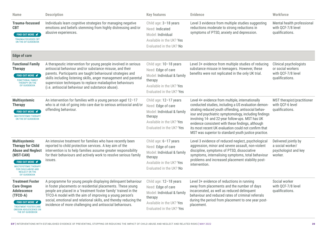| <b>Name</b>                                                                                                                                                                                                                           | <b>Description</b>                                                                                                                                                                                                                                                                                                                                                                         | <b>Key features</b>                                                                                                                           | <b>Evidence</b>                                                                                                                                                                                                                                                                                                                                                                                                                                  | <b>Workforce</b>                                                                     |
|---------------------------------------------------------------------------------------------------------------------------------------------------------------------------------------------------------------------------------------|--------------------------------------------------------------------------------------------------------------------------------------------------------------------------------------------------------------------------------------------------------------------------------------------------------------------------------------------------------------------------------------------|-----------------------------------------------------------------------------------------------------------------------------------------------|--------------------------------------------------------------------------------------------------------------------------------------------------------------------------------------------------------------------------------------------------------------------------------------------------------------------------------------------------------------------------------------------------------------------------------------------------|--------------------------------------------------------------------------------------|
| <b>Trauma-focussed</b><br><b>CBT</b><br><b>FIND OUT MORE </b><br><b>TRAUMA-FOCUSSED CBT</b><br>ON THE EIF GUIDEBOOK                                                                                                                   | Individuals learn cognitive strategies for managing negative<br>emotions and beliefs stemming from highly distressing and/or<br>abusive experiences.                                                                                                                                                                                                                                       | Child age: 3-18 years<br>Need: Indicated<br>Model: Individual<br>Available in the UK? Yes<br>Evaluated in the UK? No                          | Level 3 evidence from multiple studies suggesting<br>reductions moderate to strong reductions in<br>symptoms of PTSD, anxiety and depression.                                                                                                                                                                                                                                                                                                    | Mental health professional<br>with QCF-7/8 level<br>qualifications.                  |
| <b>Edge of care</b>                                                                                                                                                                                                                   |                                                                                                                                                                                                                                                                                                                                                                                            |                                                                                                                                               |                                                                                                                                                                                                                                                                                                                                                                                                                                                  |                                                                                      |
| <b>Functional Family</b><br><b>Therapy</b><br>FIND OUT MORE <del></del><br><b>FUNCTIONAL FAMILY</b><br>THERAPY ON THE<br><b>EIF GUIDEBOOK</b>                                                                                         | A therapeutic intervention for young people involved in serious<br>antisocial behaviour and/or substance misuse, and their<br>parents. Participants are taught behavioural strategies and<br>skills including listening skills, anger management and parental<br>supervision techniques to replace maladaptive behaviours<br>(i.e. antisocial behaviour and substance abuse).              | Child age: 10-18 years<br>Need: Edge of care<br>Model: Individual & family<br>therapy<br>Available in the UK? Yes<br>Evaluated in the UK? Yes | Level 3+ evidence from multiple studies of reducing<br>substance misuse in teenagers. However, these<br>benefits were not replicated in the only UK trial.                                                                                                                                                                                                                                                                                       | Clinical psychologists<br>or social workers<br>with QCF-7/8 level<br>qualifications. |
| <b>Multisystemic</b><br><b>Therapy</b><br>FIND OUT MORE <del></del><br><b>MULTISYSTEMIC THERAPY</b><br>ON THE EIF GUIDEBOOK                                                                                                           | An intervention for families with a young person aged 12-17<br>who is at risk of going into care due to serious antisocial and/or<br>offending behaviour.                                                                                                                                                                                                                                  | Child age: 12-17 years<br>Need: Edge of care<br>Model: Individual & family<br>therapy<br>Available in the UK? Yes<br>Evaluated in the UK? Yes | Level 4+ evidence from multiple, internationally<br>conducted studies, including a US evaluation demon-<br>strating reduced youth offending, antisocial behav-<br>iour and psychiatric symptomology, including findings<br>involving 14- and 22-year follow-ups. MST has UK<br>evidence consistent with these findings, although<br>its most recent UK evaluation could not confirm that<br>MST was superior to standard youth justice practice. | MST therapist/practitioner<br>with QCF-6 level<br>qualifications.                    |
| <b>Multisystemic</b><br><b>Therapy for Child</b><br><b>Abuse and Neglect</b><br>(MST-CAN)<br>FIND OUT MORE <del></del><br><b>MULTISYSTEMIC THERAPY</b><br><b>FOR CHILD ABUSE AND</b><br><b>NEGLECT ON THE</b><br><b>EIF GUIDEBOOK</b> | An intensive treatment for families who have recently been<br>reported to child protection services. A key aim of the<br>intervention is to help families assume greater responsibility<br>for their behaviours and actively work to resolve serious family<br>issues.                                                                                                                     | Child age: 6-17 years<br>Need: Edge of care<br>Model: Individual & family<br>therapy<br>Available in the UK? Yes<br>Evaluated in the UK? No   | Level 3 evidence of reduced neglect, psychological<br>aggression, minor and severe assault, non-violent<br>discipline, symptoms of PTSD, dissociative<br>symptoms, internalising symptoms, total behaviour<br>problems and increased placement stability post-<br>intervention.                                                                                                                                                                  | Delivered jointly by<br>a social worker/<br>psychologist and key<br>worker.          |
| <b>Treatment Foster</b><br><b>Care Oregon</b><br><b>Adolescence</b><br>(TFCO-A)<br>FIND OUT MORE <del></del><br><b>TREATMENT FOSTER CARE</b><br><b>OREGON ADOLESCENCE ON</b><br>THE EIF GUIDEBOOK                                     | A programme for young people displaying delinquent behaviour<br>in foster placements or residential placements. These young<br>people are placed in a 'treatment foster family' trained in the<br>TFCO-A model with the aim of improving a young person's<br>social, emotional and relational skills, and thereby reducing the<br>incidence of more challenging and antisocial behaviours. | Child age: 12-18 years<br>Need: Edge of care<br>Model: Individual & family<br>therapy<br>Available in the UK? Yes<br>Evaluated in the UK? Yes | Level 3+ evidence of reductions in running<br>away from placements and the number of days<br>incarcerated, as well as reduced delinquent<br>behaviour and reduced rates of criminal referrals<br>during the period from placement to one year post-<br>placement.                                                                                                                                                                                | Social worker<br>with QCF-7/8 level<br>qualifications.                               |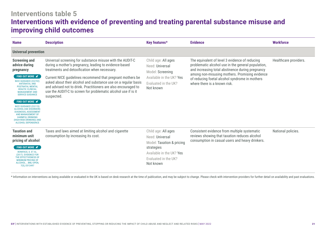# **Interventions table 5 Interventions with evidence of preventing and treating parental substance misuse and improving child outcomes**

| <b>Name</b>                                                                                                                                                                                                                                                                                                                                                                                                                                                                           | <b>Description</b>                                                                                                                                                                                                                                                                                                                                                                                                                                     | Key features*                                                                                                                                      | <b>Evidence</b>                                                                                                                                                                                                                                                                              | <b>Workforce</b>      |
|---------------------------------------------------------------------------------------------------------------------------------------------------------------------------------------------------------------------------------------------------------------------------------------------------------------------------------------------------------------------------------------------------------------------------------------------------------------------------------------|--------------------------------------------------------------------------------------------------------------------------------------------------------------------------------------------------------------------------------------------------------------------------------------------------------------------------------------------------------------------------------------------------------------------------------------------------------|----------------------------------------------------------------------------------------------------------------------------------------------------|----------------------------------------------------------------------------------------------------------------------------------------------------------------------------------------------------------------------------------------------------------------------------------------------|-----------------------|
| <b>Universal prevention</b>                                                                                                                                                                                                                                                                                                                                                                                                                                                           |                                                                                                                                                                                                                                                                                                                                                                                                                                                        |                                                                                                                                                    |                                                                                                                                                                                                                                                                                              |                       |
| <b>Screening and</b><br>advice during<br>pregnancy<br>FIND OUT MORE $\blacktriangledown$<br><b>NICE GUIDANCE (CG192):</b><br><b>ANTENATAL AND</b><br><b>POSTNATAL MENTAL</b><br><b>HEALTH: CLINICAL</b><br><b>MANAGEMENT AND</b><br><b>SERVICE GUIDANCE</b><br>FIND OUT MORE <del></del><br><b>NICE GUIDANCE (CG115):</b><br>ALCOHOL-USE DISORDERS:<br>DIAGNOSIS, ASSESSMENT<br>AND MANAGEMENT OF<br><b>HARMFUL DRINKING</b><br>(HIGH-RISK DRINKING) AND<br><b>ALCOHOL DEPENDENCE</b> | Universal screening for substance misuse with the AUDIT-C<br>during a mother's pregnancy, leading to evidence-based<br>treatments and detoxification when necessary.<br>Current NICE guidelines recommend that pregnant mothers be<br>asked about their alcohol and substance use on a regular basis<br>and advised not to drink. Practitioners are also encouraged to<br>use the AUDIT-C to screen for problematic alcohol use if is it<br>suspected. | Child age: All ages<br>Need: Universal<br>Model: Screening<br>Available in the UK? Yes<br>Evaluated in the UK?<br>Not known                        | The equivalent of level 3 evidence of reducing<br>problematic alcohol use in the general population,<br>and increasing total abstinence during pregnancy<br>among non-misusing mothers. Promising evidence<br>of reducing foetal alcohol syndrome in mothers<br>where there is a known risk. | Healthcare providers. |
| <b>Taxation and</b><br>minimum unit<br>pricing of alcohol<br>FIND OUT MORE<br><b>BONIFACE, S. ET AL.</b><br>(2017). EVIDENCE FOR<br>THE EFFECTIVENESS OF<br><b>MINIMUM PRICING OF</b><br>ALCOHOL BMJ OPEN,<br>7(5), E013497                                                                                                                                                                                                                                                           | Taxes and laws aimed at limiting alcohol and cigarette<br>consumption by increasing its cost.                                                                                                                                                                                                                                                                                                                                                          | Child age: All ages<br>Need: Universal<br>Model: Taxation & pricing<br>strategies<br>Available in the UK? Yes<br>Evaluated in the UK?<br>Not known | Consistent evidence from multiple systematic<br>reviews showing that taxation reduces alcohol<br>consumption in casual users and heavy drinkers.                                                                                                                                             | National policies.    |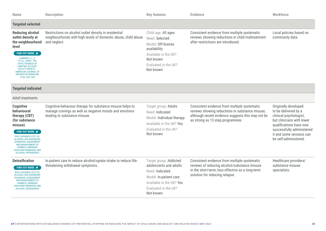| <b>Name</b>                                                                                                                                                                                                                                                                                                           | <b>Description</b>                                                                                                                                  | <b>Key features</b>                                                                                                                                            | <b>Evidence</b>                                                                                                                                                                         | Workforce                                                                                                                                                                                                        |
|-----------------------------------------------------------------------------------------------------------------------------------------------------------------------------------------------------------------------------------------------------------------------------------------------------------------------|-----------------------------------------------------------------------------------------------------------------------------------------------------|----------------------------------------------------------------------------------------------------------------------------------------------------------------|-----------------------------------------------------------------------------------------------------------------------------------------------------------------------------------------|------------------------------------------------------------------------------------------------------------------------------------------------------------------------------------------------------------------|
| <b>Targeted selected</b>                                                                                                                                                                                                                                                                                              |                                                                                                                                                     |                                                                                                                                                                |                                                                                                                                                                                         |                                                                                                                                                                                                                  |
| <b>Reducing alcohol</b><br>outlet density at<br>the neighbourhood<br>level<br>FIND OUT MORE $\blacktriangledown$<br>CAMPBELL, C. A.<br>ET AL. (2009). THE<br><b>EFFECTIVENESS OF</b><br><b>LIMITING ALCOHOL</b><br><b>OUTLET DENSITY</b><br><b>AMERICAN JOURNAL OF</b><br>PREVENTIVE MEDICINE,<br>$37(6)$ , $556-569$ | Restrictions on alcohol outlet density in residential<br>neighbourhoods with high levels of domestic abuse, child abuse<br>and neglect.             | Child age: All ages<br>Need: Selected<br>Model: Off-license<br>availability<br>Available in the UK?<br>Not known<br>Evaluated in the UK?<br>Not known          | Consistent evidence from multiple systematic<br>reviews showing reductions in child maltreatment<br>after restrictions are introduced.                                                  | Local policies based on<br>community data.                                                                                                                                                                       |
| <b>Targeted indicated</b>                                                                                                                                                                                                                                                                                             |                                                                                                                                                     |                                                                                                                                                                |                                                                                                                                                                                         |                                                                                                                                                                                                                  |
| Adult treatments                                                                                                                                                                                                                                                                                                      |                                                                                                                                                     |                                                                                                                                                                |                                                                                                                                                                                         |                                                                                                                                                                                                                  |
| <b>Cognitive</b><br>behavioural<br>therapy (CBT)<br>(for substance<br>misuse)<br>FIND OUT MORE <b></b><br><b>NICE GUIDANCE (CG115):</b><br><b>ALCOHOL-USE DISORDERS:</b><br>DIAGNOSIS, ASSESSMENT<br><b>AND MANAGEMENT OF</b><br><b>HARMFUL DRINKING</b><br>(HIGH-RISK DRINKING) AND<br><b>ALCOHOL DEPENDENCE</b>     | Cognitive-behaviour therapy for substance misuse helps to<br>manage cravings as well as negative moods and emotions<br>leading to substance misuse. | Target group: Adults<br>Need: Indicated<br>Model: Individual therapy<br>Available in the UK? Yes<br>Evaluated in the UK?<br>Not known                          | Consistent evidence from multiple systematic<br>reviews showing reductions in substance misuse,<br>although recent evidence suggests this may not be<br>as strong as 12-step programmes | Originally developed<br>to be delivered by a<br>clinical psychologist,<br>but clinicians with lower<br>qualifications have now<br>successfully administered<br>it and some versions can<br>be self-administered. |
| <b>Detoxification</b><br>FIND OUT MORE <del></del><br><b>NICE GUIDANCE (CG115):</b><br><b>ALCOHOL-USE DISORDERS:</b><br><b>DIAGNOSIS, ASSESSMENT</b><br>AND MANAGEMENT OF<br><b>HARMFUL DRINKING</b><br>(HIGH-RISK DRINKING) AND<br>ALCOHOL DEPENDENCE                                                                | In-patient care to reduce alcohol/opiate intake to reduce life-<br>threatening withdrawal symptoms.                                                 | Target group: Addicted<br>adolescents and adults<br>Need: Indicated<br>Model: In-patient care<br>Available in the UK? Yes<br>Evaluated in the UK?<br>Not known | Consistent evidence from multiple systematic<br>reviews of reducing alcohol/substance misuse<br>in the short-term; less effective as a long-term<br>solution for reducing relapse.      | Healthcare providers/<br>substance misuse<br>specialists.                                                                                                                                                        |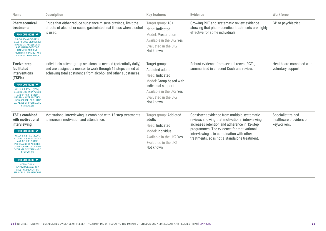| <b>Name</b>                                                                                                                                                                                                                                                                                                                                                                                                                 | <b>Description</b>                                                                                                                                                                              | <b>Key features</b>                                                                                                                                                   | <b>Evidence</b>                                                                                                                                                                                                                                                                           | Workforce                                                    |
|-----------------------------------------------------------------------------------------------------------------------------------------------------------------------------------------------------------------------------------------------------------------------------------------------------------------------------------------------------------------------------------------------------------------------------|-------------------------------------------------------------------------------------------------------------------------------------------------------------------------------------------------|-----------------------------------------------------------------------------------------------------------------------------------------------------------------------|-------------------------------------------------------------------------------------------------------------------------------------------------------------------------------------------------------------------------------------------------------------------------------------------|--------------------------------------------------------------|
| <b>Pharmaceutical</b><br>treatments<br>FIND OUT MORE <del></del><br><b>NICE GUIDANCE (CG115):</b><br><b>ALCOHOL-USE DISORDERS</b><br>DIAGNOSIS, ASSESSMENT<br>AND MANAGEMENT OF<br><b>HARMFUL DRINKING</b><br>(HIGH-RISK DRINKING) AND<br><b>ALCOHOL DEPENDENCE</b>                                                                                                                                                         | Drugs that either reduce substance misuse cravings, limit the<br>effects of alcohol or cause gastrointestinal illness when alcohol<br>is used.                                                  | Target group: 18+<br>Need: Indicated<br>Model: Prescription<br>Available in the UK? Yes<br>Evaluated in the UK?<br>Not known                                          | Growing RCT and systematic review evidence<br>showing that pharmaceutical treatments are highly<br>effective for some individuals.                                                                                                                                                        | GP or psychiatrist.                                          |
| <b>Twelve-step</b><br>facilitated<br><b>interventions</b><br>(TSFIs)<br>FIND OUT MORE <del></del><br>KELLY, J. F. ET AL. (2020)<br><b>ALCOHOLICS ANONYMOUS</b><br>AND OTHER 12-STEP<br><b>PROGRAMS FOR ALCOHOL</b><br><b>USE DISORDER. COCHRANE</b><br><b>DATABASE OF SYSTEMATIC</b><br>REVIEWS, (3)                                                                                                                        | Individuals attend group sessions as needed (potentially daily)<br>and are assigned a mentor to work through 12 steps aimed at<br>achieving total abstinence from alcohol and other substances. | Target group:<br>Addicted adults<br>Need: Indicated<br>Model: Group based with<br>individual support<br>Available in the UK? Yes<br>Evaluated in the UK?<br>Not known | Robust evidence from several recent RCTs,<br>summarised in a recent Cochrane review.                                                                                                                                                                                                      | Healthcare combined with<br>voluntary support.               |
| <b>TSFIs combined</b><br>with motivational<br>interviewing<br><b>FIND OUT MORE </b><br>KELLY, J. F. ET AL. (2020)<br><b>ALCOHOLICS ANONYMOUS</b><br>AND OTHER 12-STEP<br><b>PROGRAMS FOR ALCOHOL</b><br><b>USE DISORDER. COCHRANE</b><br>DATABASE OF SYSTEMATIC<br>REVIEWS, (3)<br>FIND OUT MORE <del></del><br>MOTIVATIONAL<br><b>INTERVIEWING ON THE</b><br><b>TITLE IV-E PREVENTION</b><br><b>SERVICES CLEARINGHOUSE</b> | Motivational interviewing is combined with 12-step treatments<br>to increase motivation and attendance.                                                                                         | Target group: Addicted<br>adults<br>Need: Indicated<br>Model: Individual<br>Available in the UK? Yes<br>Evaluated in the UK?<br>Not known                             | Consistent evidence from multiple systematic<br>reviews showing that motivational interviewing<br>increases retention and adherence in 12-step<br>programmes. The evidence for motivational<br>interviewing is in combination with other<br>treatments, so is not a standalone treatment. | Specialist trained<br>healthcare providers or<br>keyworkers. |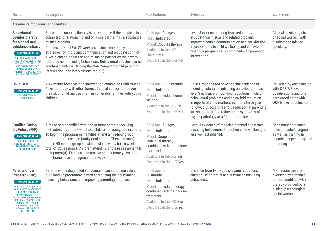| <b>Name</b>                                                                                                                                                                                                                                                                                                                                                           | <b>Description</b>                                                                                                                                                                                                                                                                                                                                                                                                                                                                                                                | <b>Key features</b>                                                                                                                                                              | <b>Evidence</b>                                                                                                                                                                                                                                                                                                                                                                                                 | <b>Workforce</b>                                                                                                                          |
|-----------------------------------------------------------------------------------------------------------------------------------------------------------------------------------------------------------------------------------------------------------------------------------------------------------------------------------------------------------------------|-----------------------------------------------------------------------------------------------------------------------------------------------------------------------------------------------------------------------------------------------------------------------------------------------------------------------------------------------------------------------------------------------------------------------------------------------------------------------------------------------------------------------------------|----------------------------------------------------------------------------------------------------------------------------------------------------------------------------------|-----------------------------------------------------------------------------------------------------------------------------------------------------------------------------------------------------------------------------------------------------------------------------------------------------------------------------------------------------------------------------------------------------------------|-------------------------------------------------------------------------------------------------------------------------------------------|
| Treatments for parents and families                                                                                                                                                                                                                                                                                                                                   |                                                                                                                                                                                                                                                                                                                                                                                                                                                                                                                                   |                                                                                                                                                                                  |                                                                                                                                                                                                                                                                                                                                                                                                                 |                                                                                                                                           |
| <b>Behavioural</b><br>couples therapy<br>for alcohol and<br>substance misuse<br>FIND OUT MORE <del></del><br><b>NICE GUIDANCE (CG115):</b><br><b>ALCOHOL-USE DISORDERS</b><br><b>DIAGNOSIS, ASSESSMENT</b><br><b>AND MANAGEMENT OF</b><br><b>HARMFUL DRINKING</b><br>(HIGH-RISK DRINKING) AND<br><b>ALCOHOL DEPENDENCE</b>                                            | Behavioural couples therapy is only suitable if the couple is in a<br>cohabitating relationship and only one partner has a substance<br>misuse problem.<br>Couples attend 12 to 20 weekly sessions where they learn<br>strategies for improving communication and reducing conflict.<br>A key element is that the non-misusing partner learns how to<br>reinforce non-misusing behaviours. Behavioural couples can be<br>combined with the Helping the Non-Compliant Child parenting<br>intervention (see interventions table 1). | Child age: All ages<br>Need: Indicated<br>Model: Couples therapy<br>Available in the UK?<br>Not known<br>Evaluated in the UK? No                                                 | Level 3 evidence of long-term reductions<br>in substance misuse and related problems,<br>improved couple communication and satisfaction.<br>Improvements in child wellbeing and behaviour<br>when the programme is combined with parenting<br>intervention.                                                                                                                                                     | Clinical psychologists<br>or social workers with<br>a substance misuse<br>specialty.                                                      |
| <b>Child First</b><br>FIND OUT MORE <del></del><br><b>CHILD-FIRST ON THE</b><br><b>EIF GUIDEBOOK</b>                                                                                                                                                                                                                                                                  | A 12-month home visiting intervention combining Child-Parent<br>Psychotherapy with other forms of social support to reduce<br>the risk of child maltreatment in vulnerable families with young<br>children.                                                                                                                                                                                                                                                                                                                       | Child age: 6-36 months<br>Need: Indicated<br>Model: Individual home<br>visiting<br>Available in the UK? No<br>Evaluated in the UK? No                                            | Child First does not have specific evidence of<br>reducing substance misusing behaviours. It has<br>level 3 evidence of four-fold reductions in child<br>behavioural problems and a two-fold reduction<br>in reports of child maltreatment at a three-year<br>follow-up. Also, a three-fold reduction in parenting<br>stress and four-fold reduction in symptoms of<br>psychopathology at a 12-month follow-up. | Delivered by one clinician<br>with QCF-7/8 level<br>qualifications and one<br>care coordinator with<br>QCF-6 level qualifications.        |
| <b>Families Facing</b><br>the Future (FFF)<br>FIND OUT MORE <del></del><br><b>FAMILIES FACING THE</b><br><b>FUTURE ON THE TITLE IV-E</b><br><b>PREVENTION SERVICES</b><br>CLEARINGHOUSE                                                                                                                                                                               | Aims to serve families with one or more parents receiving<br>methadone treatment who have children or young adolescents.<br>To begin the programme, families attend a five-hour group<br>retreat that focuses on family goal-setting. Then, parent(s)<br>attend 90-minute group sessions twice a week for 16 weeks (a<br>total of 32 sessions). Children attend 12 of these sessions with<br>their parent(s). Families also receive approximately two hours<br>of in-home case management per week.                               | Child age: All ages<br>Need: Indicated<br>Model: Group and<br>individual therapy<br>combined with methadone<br>treatment<br>Available in the UK? Yes<br>Evaluated in the UK? Yes | Level 3 evidence of reducing parental substance<br>misusing behaviours. Impact on child wellbeing is<br>less well established.                                                                                                                                                                                                                                                                                  | Case managers must<br>have a master's degree<br>as well as training in<br>chemical dependency and<br>parenting.                           |
| <b>Parents Under</b><br><b>Pressure (PUP)</b><br>FIND OUT MORE $\blacktriangledown$<br>BARLOW, J. ET AL. (2019). A<br><b>RANDOMIZED CONTROLLED</b><br>TRIAL AND ECONOMIC<br><b>EVALUATION OF THE</b><br><b>PARENTS UNDER PRESSURE</b><br><b>PROGRAM FOR PARENTS</b><br><b>IN SUBSTANCE ABUSE</b><br><b>TREATMENT, DRUG AND</b><br>ALCOHOL DEPENDENCE,<br>194, 184-194 | Parents with a diagnosed substance misuse problem attend<br>a 12-module programme aimed at reducing their substance<br>misusing behaviours and improving parenting practices.                                                                                                                                                                                                                                                                                                                                                     | Child age: Up to<br>30 months<br>Need: Indicated<br>Model: Individual therapy<br>combined with methadone<br>treatment<br>Available in the UK? Yes<br>Evaluated in the UK? Yes    | Evidence from two RCTs showing reductions in<br>child abuse potential and substance misusing<br>behaviours.                                                                                                                                                                                                                                                                                                     | Methadone treatment<br>overseen by a medical<br>doctor combined with<br>therapy provided by a<br>clinical psychologist/<br>social worker. |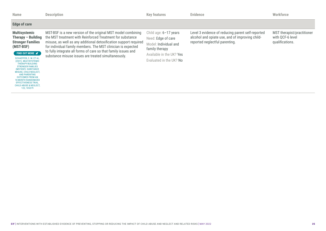| <b>Name</b>                                                                                                                                                                                                                                                                                                                                                                                                                          | <b>Description</b>                                                                                                                                                                                                                                                                                                                                                                      | <b>Key features</b>                                                                                                                             | <b>Evidence</b>                                                                                                                        | <b>Workforce</b>                                                  |
|--------------------------------------------------------------------------------------------------------------------------------------------------------------------------------------------------------------------------------------------------------------------------------------------------------------------------------------------------------------------------------------------------------------------------------------|-----------------------------------------------------------------------------------------------------------------------------------------------------------------------------------------------------------------------------------------------------------------------------------------------------------------------------------------------------------------------------------------|-------------------------------------------------------------------------------------------------------------------------------------------------|----------------------------------------------------------------------------------------------------------------------------------------|-------------------------------------------------------------------|
| <b>Edge of care</b>                                                                                                                                                                                                                                                                                                                                                                                                                  |                                                                                                                                                                                                                                                                                                                                                                                         |                                                                                                                                                 |                                                                                                                                        |                                                                   |
| <b>Multisystemic</b><br>Therapy - Building<br><b>Stronger Families</b><br>(MST-BSF)<br>FIND OUT MORE<br>SCHAEFFER, C. M. ET AL.<br>(2021). MULTISYSTEMIC<br>THERAPY-BUILDING<br><b>STRONGER FAMILIES</b><br>(MST-BSF): SUBSTANCE<br><b>MISUSE, CHILD NEGLECT,</b><br><b>AND PARENTING</b><br><b>OUTCOMES FROM AN</b><br><b>18-MONTH RANDOMIZED</b><br><b>EFFECTIVENESS TRIAL</b><br><b>CHILD ABUSE &amp; NEGLECT.</b><br>122, 105379 | MST-BSF is a new version of the original MST model combining<br>the MST treatment with Reinforced Treatment for substance<br>misuse, as well as any additional detoxification support required<br>for individual family members. The MST clinician is expected<br>to fully integrate all forms of care so that family issues and<br>substance misuse issues are treated simultaneously. | Child age: $6-17$ years<br>Need: Edge of care<br>Model: Individual and<br>family therapy<br>Available in the UK? Yes<br>Evaluated in the UK? No | Level 3 evidence of reducing parent self-reported<br>alcohol and opiate use, and of improving child-<br>reported neglectful parenting. | MST therapist/practitioner<br>with QCF-6 level<br>qualifications. |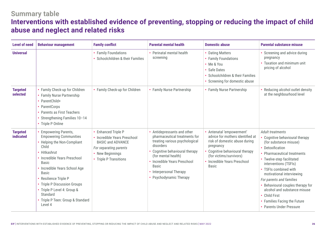# **Summary table Interventions with established evidence of preventing, stopping or reducing the impact of child abuse and neglect and related risks**

| <b>Level of need</b>         | <b>Behaviour management</b>                                                                                                                                                                                                                                                                                                                                     | <b>Family conflict</b>                                                                                                                                       | <b>Parental mental health</b>                                                                                                                                                                                                                                         | <b>Domestic abuse</b>                                                                                                                                                                                                   | <b>Parental substance misuse</b>                                                                                                                                                                                                                                                                                                                                                                                              |
|------------------------------|-----------------------------------------------------------------------------------------------------------------------------------------------------------------------------------------------------------------------------------------------------------------------------------------------------------------------------------------------------------------|--------------------------------------------------------------------------------------------------------------------------------------------------------------|-----------------------------------------------------------------------------------------------------------------------------------------------------------------------------------------------------------------------------------------------------------------------|-------------------------------------------------------------------------------------------------------------------------------------------------------------------------------------------------------------------------|-------------------------------------------------------------------------------------------------------------------------------------------------------------------------------------------------------------------------------------------------------------------------------------------------------------------------------------------------------------------------------------------------------------------------------|
| <b>Universal</b>             |                                                                                                                                                                                                                                                                                                                                                                 | <b>Family Foundations</b><br>Schoolchildren & their Families                                                                                                 | • Perinatal mental health<br>screening                                                                                                                                                                                                                                | • Dating Matters<br>• Family Foundations<br>• Me & You<br>• Safe Dates<br>• Schoolchildren & their Families<br>• Screening for domestic abuse                                                                           | • Screening and advice during<br>pregnancy<br>• Taxation and minimum unit<br>pricing of alcohol                                                                                                                                                                                                                                                                                                                               |
| <b>Targeted</b><br>selected  | • Family Check-up for Children<br>• Family Nurse Partnership<br>• ParentChild+<br>• ParentCorps<br>Parents as First Teachers<br>Strengthening Families 10-14<br>• Triple P Online                                                                                                                                                                               | • Family Check-up for Children                                                                                                                               | • Family Nurse Partnership                                                                                                                                                                                                                                            | • Family Nurse Partnership                                                                                                                                                                                              | • Reducing alcohol outlet density<br>at the neighbourhood level                                                                                                                                                                                                                                                                                                                                                               |
| <b>Targeted</b><br>indicated | • Empowering Parents,<br><b>Empowering Communities</b><br>• Helping the Non-Compliant<br>Child<br>• Hitkashrut<br>• Incredible Years Preschool<br><b>Basic</b><br>Incredible Years School Age<br><b>Basic</b><br>Resilience Triple P<br>• Triple P Discussion Groups<br>• Triple P Level 4: Group &<br>Standard<br>• Triple P Teen: Group & Standard<br>Level 4 | <b>Enhanced Triple P</b><br>• Incredible Years Preschool<br><b>BASIC and ADVANCE</b><br>For separating parents<br>• New Beginnings<br>• Triple P Transitions | Antidepressants and other<br>pharmaceutical treatments for<br>treating various psychological<br>disorders<br>Cognitive behavioural therapy<br>(for mental health)<br>Incredible Years Preschool<br><b>Basic</b><br>• Interpersonal Therapy<br>• Psychodynamic Therapy | • Antenatal 'empowerment'<br>advice for mothers identified at<br>risk of domestic abuse during<br>pregnancy<br>Cognitive behavioural therapy<br>(for victims/survivors)<br>• Incredible Years Preschool<br><b>Basic</b> | Adult treatments<br>Cognitive behavioural therapy<br>(for substance misuse)<br>• Detoxification<br><b>Pharmaceutical treatments</b><br>• Twelve-step facilitated<br>interventions (TSFIs)<br>• TSFIs combined with<br>motivational interviewing<br>For parents and families<br>• Behavioural couples therapy for<br>alcohol and substance misuse<br>• Child First<br>• Families Facing the Future<br>• Parents Under Pressure |